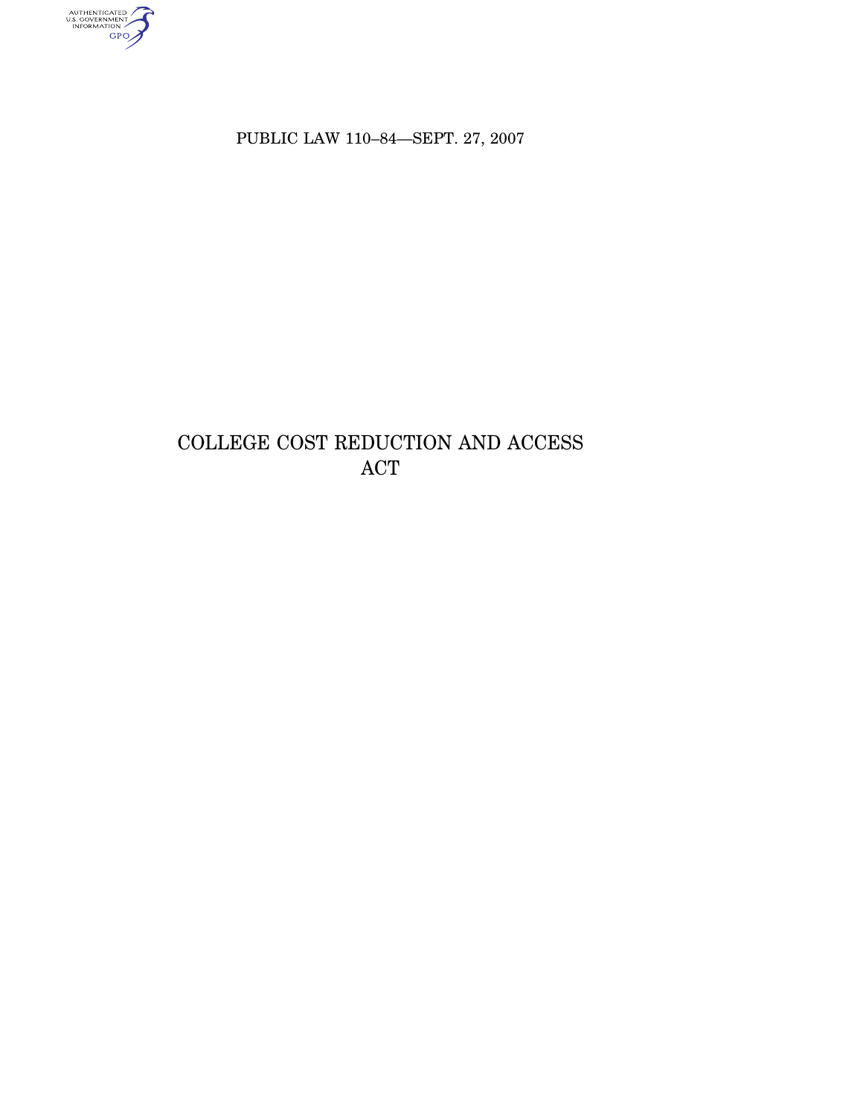AUTHENTICATED<br>U.S. GOVERNMENT<br>INFORMATION<br>GPO

PUBLIC LAW 110–84—SEPT. 27, 2007

# COLLEGE COST REDUCTION AND ACCESS ACT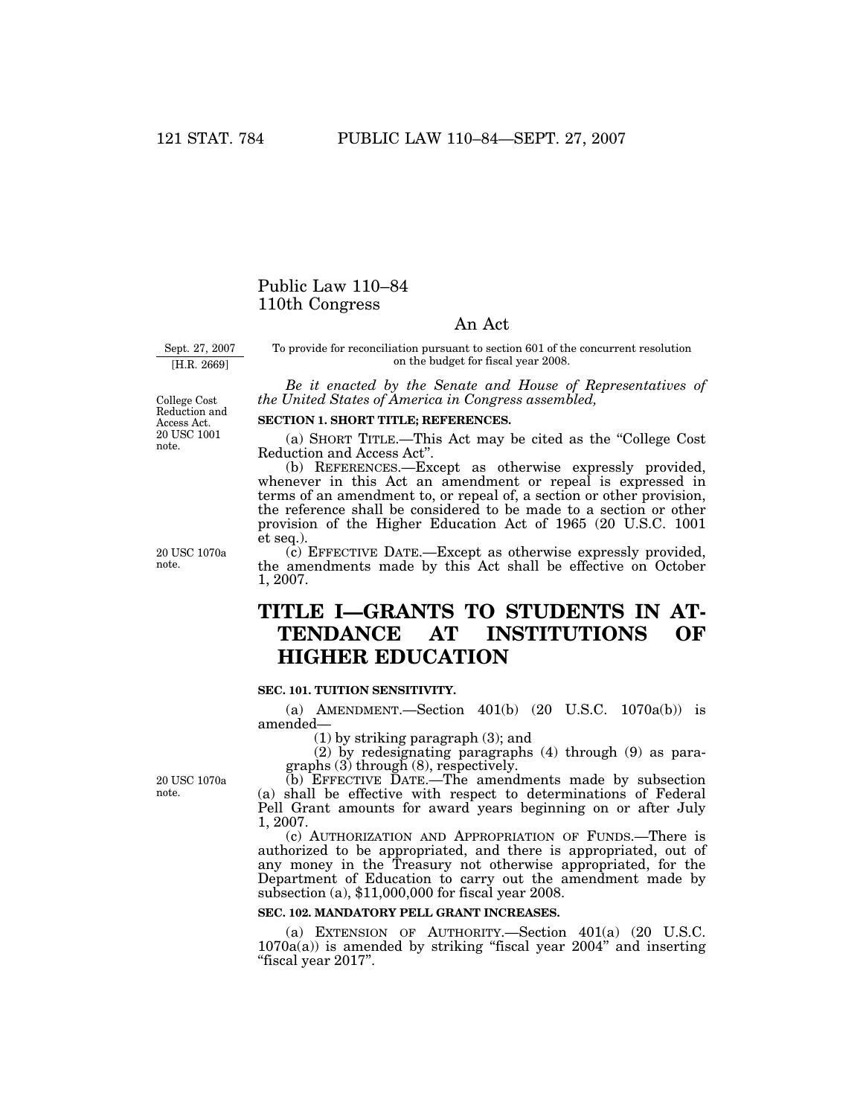# Public Law 110–84 110th Congress

## An Act

Sept. 27, 2007

[H.R. 2669]

To provide for reconciliation pursuant to section 601 of the concurrent resolution on the budget for fiscal year 2008.

*Be it enacted by the Senate and House of Representatives of the United States of America in Congress assembled,* 

College Cost Reduction and Access Act. 20 USC 1001 note.

20 USC 1070a note.

#### **SECTION 1. SHORT TITLE; REFERENCES.**

(a) SHORT TITLE.—This Act may be cited as the ''College Cost Reduction and Access Act''.

(b) REFERENCES.—Except as otherwise expressly provided, whenever in this Act an amendment or repeal is expressed in terms of an amendment to, or repeal of, a section or other provision, the reference shall be considered to be made to a section or other provision of the Higher Education Act of 1965 (20 U.S.C. 1001 et seq.).

(c) EFFECTIVE DATE.—Except as otherwise expressly provided, the amendments made by this Act shall be effective on October 1, 2007.

# **TITLE I—GRANTS TO STUDENTS IN AT-TENDANCE AT INSTITUTIONS OF HIGHER EDUCATION**

## **SEC. 101. TUITION SENSITIVITY.**

(a) AMENDMENT.—Section 401(b) (20 U.S.C. 1070a(b)) is amended—

(1) by striking paragraph (3); and

(2) by redesignating paragraphs (4) through (9) as paragraphs (3) through (8), respectively.

(b) EFFECTIVE DATE.—The amendments made by subsection (a) shall be effective with respect to determinations of Federal Pell Grant amounts for award years beginning on or after July 1, 2007.

(c) AUTHORIZATION AND APPROPRIATION OF FUNDS.—There is authorized to be appropriated, and there is appropriated, out of any money in the Treasury not otherwise appropriated, for the Department of Education to carry out the amendment made by subsection (a), \$11,000,000 for fiscal year 2008.

#### **SEC. 102. MANDATORY PELL GRANT INCREASES.**

(a) EXTENSION OF AUTHORITY.—Section 401(a) (20 U.S.C.  $1070a(a)$ ) is amended by striking "fiscal year  $2004$ " and inserting ''fiscal year 2017''.

20 USC 1070a note.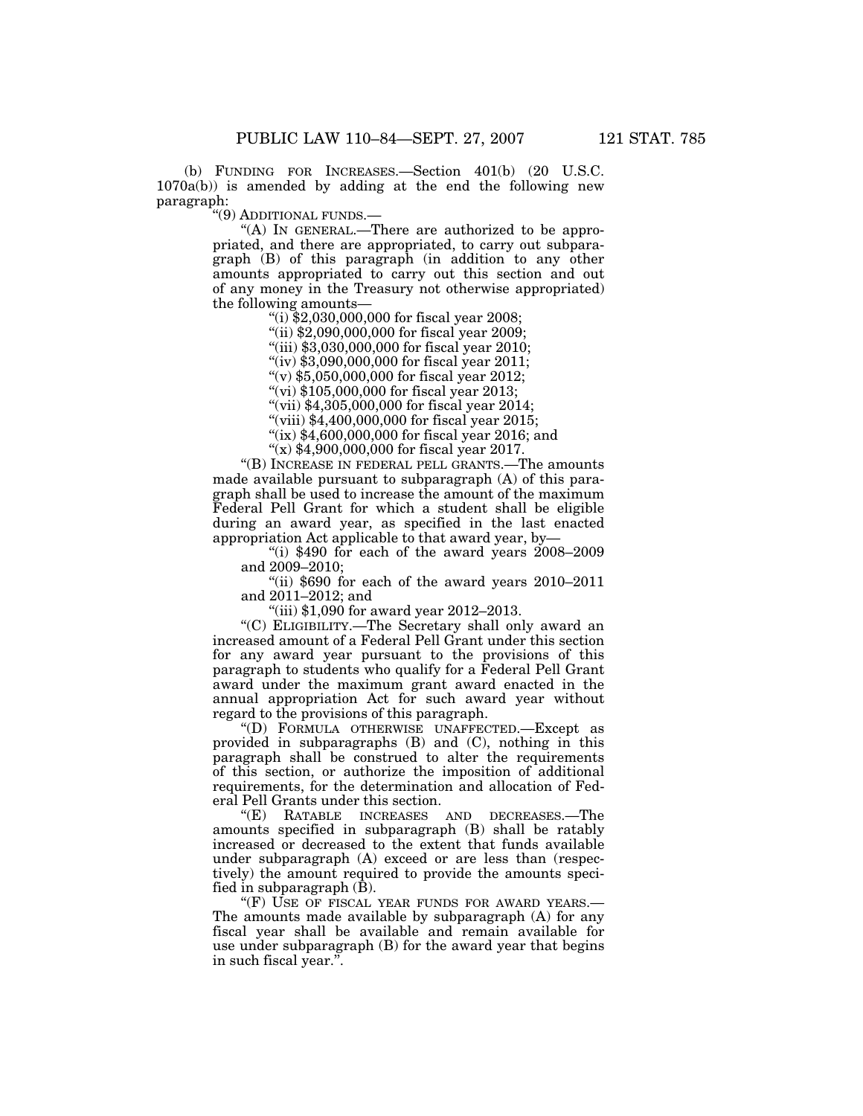(b) FUNDING FOR INCREASES.—Section 401(b) (20 U.S.C. 1070a(b)) is amended by adding at the end the following new paragraph:

''(9) ADDITIONAL FUNDS.—

"(A) In GENERAL.—There are authorized to be appropriated, and there are appropriated, to carry out subparagraph (B) of this paragraph (in addition to any other amounts appropriated to carry out this section and out of any money in the Treasury not otherwise appropriated) the following amounts—

''(i) \$2,030,000,000 for fiscal year 2008;

"(ii) \$2,090,000,000 for fiscal year 2009;

''(iii) \$3,030,000,000 for fiscal year 2010;

"(iv) \$3,090,000,000 for fiscal year 2011;

''(v) \$5,050,000,000 for fiscal year 2012;

"(vi) \$105,000,000 for fiscal year 2013;

''(vii) \$4,305,000,000 for fiscal year 2014;

"(viii) \$4,400,000,000 for fiscal year 2015;

"(ix) \$4,600,000,000 for fiscal year 2016; and

''(x) \$4,900,000,000 for fiscal year 2017.

''(B) INCREASE IN FEDERAL PELL GRANTS.—The amounts made available pursuant to subparagraph (A) of this paragraph shall be used to increase the amount of the maximum Federal Pell Grant for which a student shall be eligible during an award year, as specified in the last enacted appropriation Act applicable to that award year, by—

"(i)  $$490$  for each of the award years  $2008-2009$ and 2009–2010;

''(ii) \$690 for each of the award years 2010–2011 and 2011–2012; and

"(iii) \$1,090 for award year 2012-2013.

''(C) ELIGIBILITY.—The Secretary shall only award an increased amount of a Federal Pell Grant under this section for any award year pursuant to the provisions of this paragraph to students who qualify for a Federal Pell Grant award under the maximum grant award enacted in the annual appropriation Act for such award year without regard to the provisions of this paragraph.

''(D) FORMULA OTHERWISE UNAFFECTED.—Except as provided in subparagraphs (B) and (C), nothing in this paragraph shall be construed to alter the requirements of this section, or authorize the imposition of additional requirements, for the determination and allocation of Federal Pell Grants under this section.<br>"(E) RATABLE INCREASES

AND DECREASES.—The amounts specified in subparagraph (B) shall be ratably increased or decreased to the extent that funds available under subparagraph (A) exceed or are less than (respectively) the amount required to provide the amounts specified in subparagraph (B).

"(F) USE OF FISCAL YEAR FUNDS FOR AWARD YEARS.— The amounts made available by subparagraph (A) for any fiscal year shall be available and remain available for use under subparagraph (B) for the award year that begins in such fiscal year.''.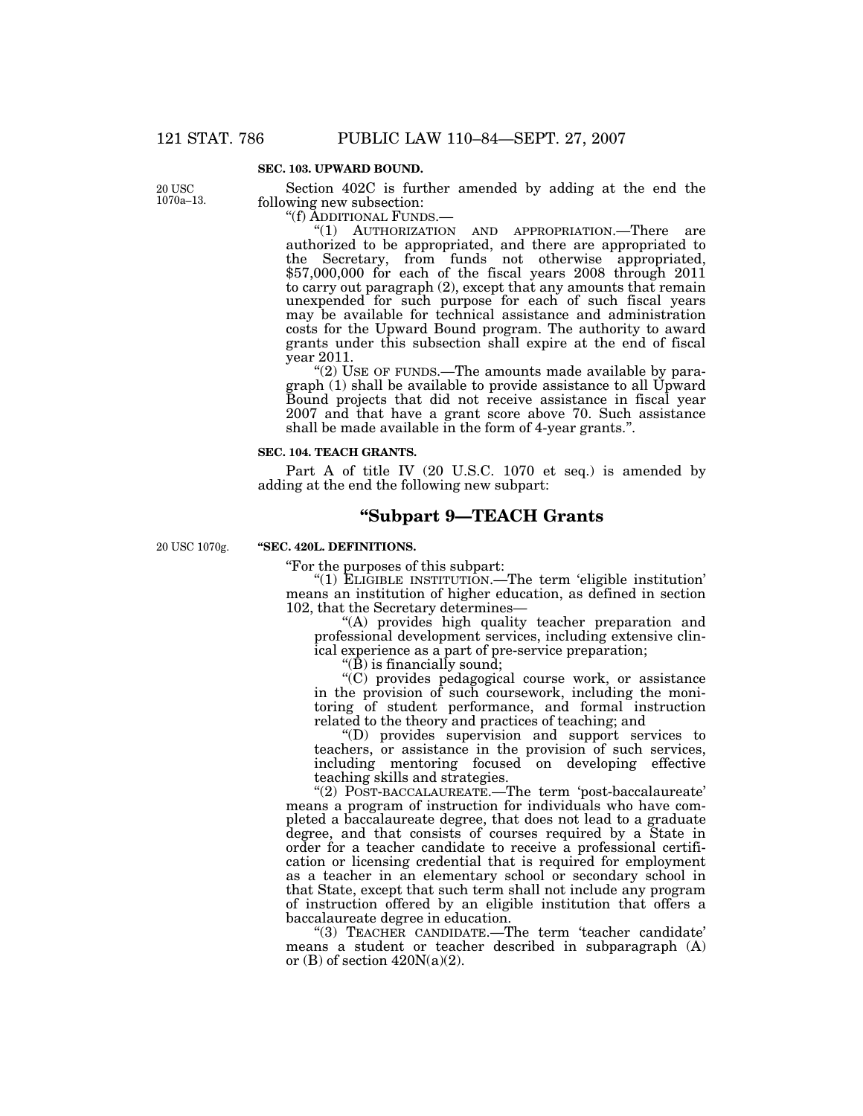#### **SEC. 103. UPWARD BOUND.**

20 USC 1070a–13.

Section 402C is further amended by adding at the end the following new subsection:

''(f) ADDITIONAL FUNDS.—

''(1) AUTHORIZATION AND APPROPRIATION.—There are authorized to be appropriated, and there are appropriated to the Secretary, from funds not otherwise appropriated,  $$57,000,000$  for each of the fiscal years 2008 through 2011 to carry out paragraph (2), except that any amounts that remain unexpended for such purpose for each of such fiscal years may be available for technical assistance and administration costs for the Upward Bound program. The authority to award grants under this subsection shall expire at the end of fiscal year 2011.

''(2) USE OF FUNDS.—The amounts made available by para $graph (1)$  shall be available to provide assistance to all Upward Bound projects that did not receive assistance in fiscal year 2007 and that have a grant score above 70. Such assistance shall be made available in the form of 4-year grants.''.

#### **SEC. 104. TEACH GRANTS.**

Part A of title IV (20 U.S.C. 1070 et seq.) is amended by adding at the end the following new subpart:

## **''Subpart 9—TEACH Grants**

20 USC 1070g.

### **''SEC. 420L. DEFINITIONS.**

''For the purposes of this subpart:

''(1) ELIGIBLE INSTITUTION.—The term 'eligible institution' means an institution of higher education, as defined in section 102, that the Secretary determines—

"(A) provides high quality teacher preparation and professional development services, including extensive clinical experience as a part of pre-service preparation;

''(B) is financially sound;

''(C) provides pedagogical course work, or assistance in the provision of such coursework, including the monitoring of student performance, and formal instruction related to the theory and practices of teaching; and

''(D) provides supervision and support services to teachers, or assistance in the provision of such services, including mentoring focused on developing effective teaching skills and strategies.

''(2) POST-BACCALAUREATE.—The term 'post-baccalaureate' means a program of instruction for individuals who have completed a baccalaureate degree, that does not lead to a graduate degree, and that consists of courses required by a State in order for a teacher candidate to receive a professional certification or licensing credential that is required for employment as a teacher in an elementary school or secondary school in that State, except that such term shall not include any program of instruction offered by an eligible institution that offers a baccalaureate degree in education.

''(3) TEACHER CANDIDATE.—The term 'teacher candidate' means a student or teacher described in subparagraph (A) or  $(B)$  of section  $420N(a)(2)$ .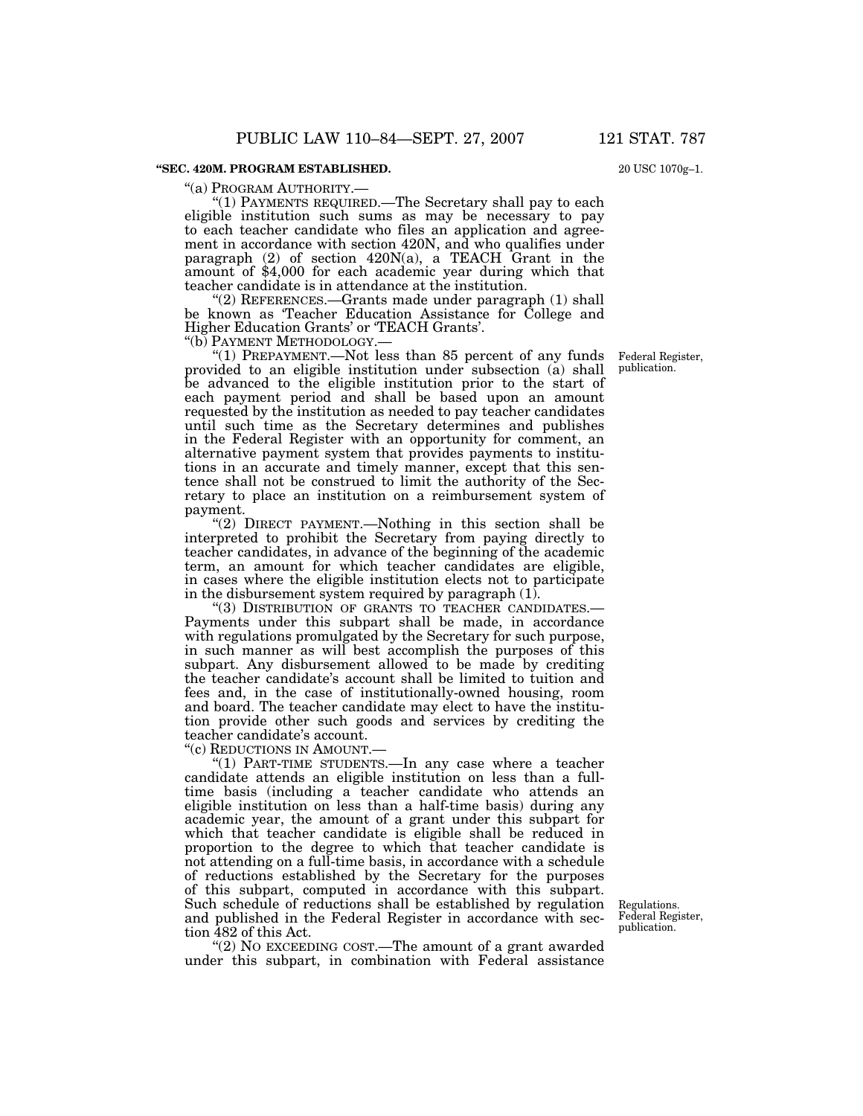#### **''SEC. 420M. PROGRAM ESTABLISHED.**

''(a) PROGRAM AUTHORITY.— ''(1) PAYMENTS REQUIRED.—The Secretary shall pay to each eligible institution such sums as may be necessary to pay to each teacher candidate who files an application and agreement in accordance with section 420N, and who qualifies under paragraph  $(2)$  of section  $420N(a)$ , a TEACH Grant in the amount of \$4,000 for each academic year during which that teacher candidate is in attendance at the institution.

"(2) REFERENCES.—Grants made under paragraph (1) shall be known as 'Teacher Education Assistance for College and Higher Education Grants' or 'TEACH Grants'.

" $(1)$  PREPAYMENT.—Not less than 85 percent of any funds provided to an eligible institution under subsection (a) shall be advanced to the eligible institution prior to the start of each payment period and shall be based upon an amount requested by the institution as needed to pay teacher candidates until such time as the Secretary determines and publishes in the Federal Register with an opportunity for comment, an alternative payment system that provides payments to institutions in an accurate and timely manner, except that this sentence shall not be construed to limit the authority of the Secretary to place an institution on a reimbursement system of payment.

''(2) DIRECT PAYMENT.—Nothing in this section shall be interpreted to prohibit the Secretary from paying directly to teacher candidates, in advance of the beginning of the academic term, an amount for which teacher candidates are eligible, in cases where the eligible institution elects not to participate in the disbursement system required by paragraph  $(1)$ .

"(3) DISTRIBUTION OF GRANTS TO TEACHER CANDIDATES.-Payments under this subpart shall be made, in accordance with regulations promulgated by the Secretary for such purpose, in such manner as will best accomplish the purposes of this subpart. Any disbursement allowed to be made by crediting the teacher candidate's account shall be limited to tuition and fees and, in the case of institutionally-owned housing, room and board. The teacher candidate may elect to have the institution provide other such goods and services by crediting the teacher candidate's account.

"(c) REDUCTIONS IN AMOUNT.-

"(1) PART-TIME STUDENTS.—In any case where a teacher candidate attends an eligible institution on less than a fulltime basis (including a teacher candidate who attends an eligible institution on less than a half-time basis) during any academic year, the amount of a grant under this subpart for which that teacher candidate is eligible shall be reduced in proportion to the degree to which that teacher candidate is not attending on a full-time basis, in accordance with a schedule of reductions established by the Secretary for the purposes of this subpart, computed in accordance with this subpart. Such schedule of reductions shall be established by regulation and published in the Federal Register in accordance with section 482 of this Act.

"(2) NO EXCEEDING COST.—The amount of a grant awarded under this subpart, in combination with Federal assistance

Regulations. Federal Register, publication.

20 USC 1070g–1.

Federal Register, publication.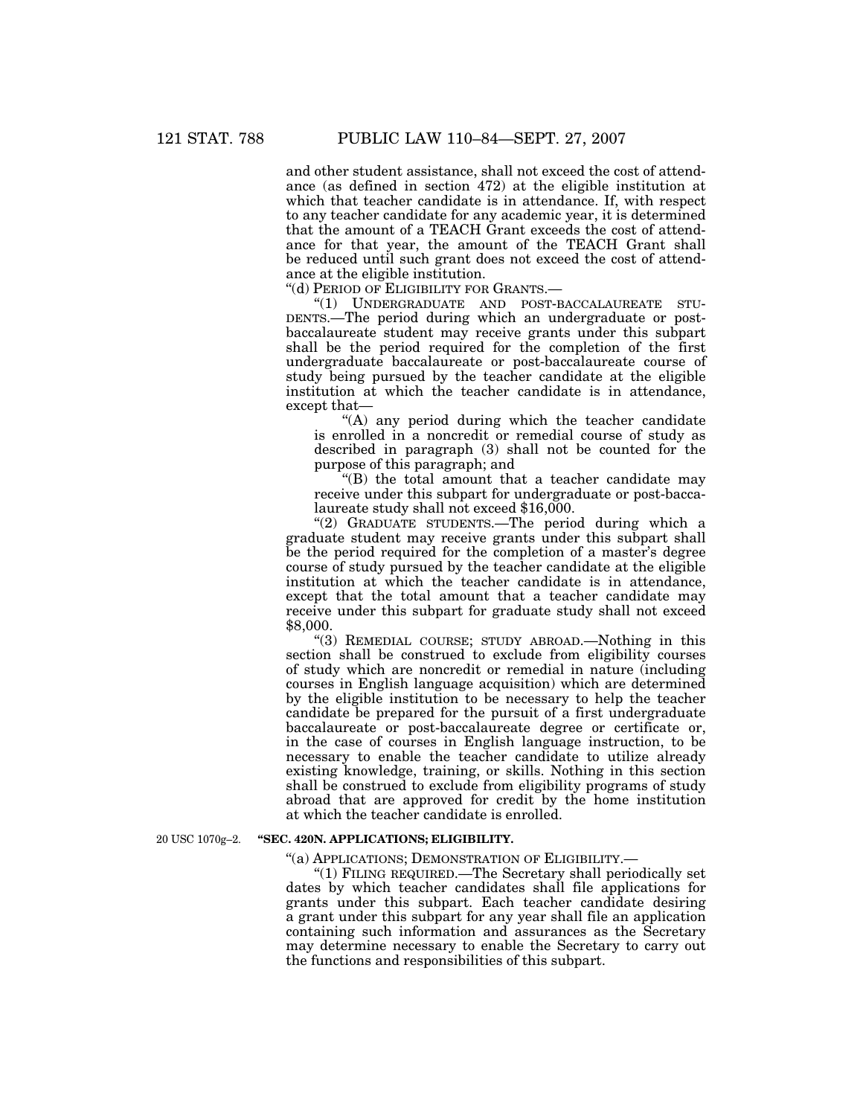and other student assistance, shall not exceed the cost of attendance (as defined in section 472) at the eligible institution at which that teacher candidate is in attendance. If, with respect to any teacher candidate for any academic year, it is determined that the amount of a TEACH Grant exceeds the cost of attendance for that year, the amount of the TEACH Grant shall be reduced until such grant does not exceed the cost of attendance at the eligible institution.

''(d) PERIOD OF ELIGIBILITY FOR GRANTS.—

''(1) UNDERGRADUATE AND POST-BACCALAUREATE STU-DENTS.—The period during which an undergraduate or postbaccalaureate student may receive grants under this subpart shall be the period required for the completion of the first undergraduate baccalaureate or post-baccalaureate course of study being pursued by the teacher candidate at the eligible institution at which the teacher candidate is in attendance, except that—

 $(A)$  any period during which the teacher candidate is enrolled in a noncredit or remedial course of study as described in paragraph (3) shall not be counted for the purpose of this paragraph; and

''(B) the total amount that a teacher candidate may receive under this subpart for undergraduate or post-baccalaureate study shall not exceed \$16,000.

''(2) GRADUATE STUDENTS.—The period during which a graduate student may receive grants under this subpart shall be the period required for the completion of a master's degree course of study pursued by the teacher candidate at the eligible institution at which the teacher candidate is in attendance, except that the total amount that a teacher candidate may receive under this subpart for graduate study shall not exceed \$8,000.

''(3) REMEDIAL COURSE; STUDY ABROAD.—Nothing in this section shall be construed to exclude from eligibility courses of study which are noncredit or remedial in nature (including courses in English language acquisition) which are determined by the eligible institution to be necessary to help the teacher candidate be prepared for the pursuit of a first undergraduate baccalaureate or post-baccalaureate degree or certificate or, in the case of courses in English language instruction, to be necessary to enable the teacher candidate to utilize already existing knowledge, training, or skills. Nothing in this section shall be construed to exclude from eligibility programs of study abroad that are approved for credit by the home institution at which the teacher candidate is enrolled.

20 USC 1070g–2.

#### **''SEC. 420N. APPLICATIONS; ELIGIBILITY.**

''(a) APPLICATIONS; DEMONSTRATION OF ELIGIBILITY.—

''(1) FILING REQUIRED.—The Secretary shall periodically set dates by which teacher candidates shall file applications for grants under this subpart. Each teacher candidate desiring a grant under this subpart for any year shall file an application containing such information and assurances as the Secretary may determine necessary to enable the Secretary to carry out the functions and responsibilities of this subpart.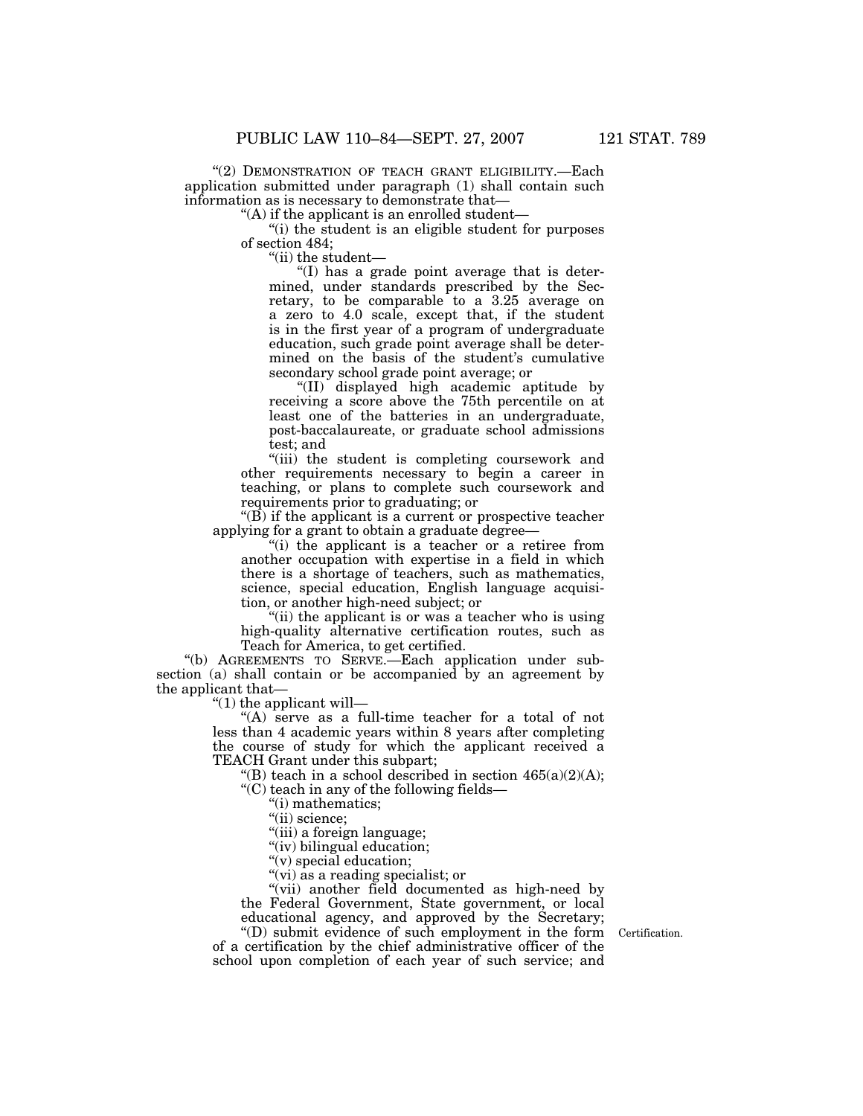"(2) DEMONSTRATION OF TEACH GRANT ELIGIBILITY.—Each application submitted under paragraph (1) shall contain such information as is necessary to demonstrate that—

"(A) if the applicant is an enrolled student—

"(i) the student is an eligible student for purposes" of section 484;

''(ii) the student—

''(I) has a grade point average that is determined, under standards prescribed by the Secretary, to be comparable to a 3.25 average on a zero to 4.0 scale, except that, if the student is in the first year of a program of undergraduate education, such grade point average shall be determined on the basis of the student's cumulative secondary school grade point average; or

''(II) displayed high academic aptitude by receiving a score above the 75th percentile on at least one of the batteries in an undergraduate, post-baccalaureate, or graduate school admissions test; and

"(iii) the student is completing coursework and other requirements necessary to begin a career in teaching, or plans to complete such coursework and requirements prior to graduating; or

''(B) if the applicant is a current or prospective teacher applying for a grant to obtain a graduate degree—

''(i) the applicant is a teacher or a retiree from another occupation with expertise in a field in which there is a shortage of teachers, such as mathematics, science, special education, English language acquisition, or another high-need subject; or

(ii) the applicant is or was a teacher who is using high-quality alternative certification routes, such as Teach for America, to get certified.

''(b) AGREEMENTS TO SERVE.—Each application under subsection (a) shall contain or be accompanied by an agreement by the applicant that—

 $''(1)$  the applicant will—

''(A) serve as a full-time teacher for a total of not less than 4 academic years within 8 years after completing the course of study for which the applicant received a TEACH Grant under this subpart;

"(B) teach in a school described in section  $465(a)(2)(A);$ 

 $C$ <sup>'</sup>(C) teach in any of the following fields—

''(i) mathematics;

"(ii) science;

"(iii) a foreign language;

"(iv) bilingual education;

"(v) special education;

''(vi) as a reading specialist; or

"(vii) another field documented as high-need by the Federal Government, State government, or local educational agency, and approved by the Secretary;

''(D) submit evidence of such employment in the form Certification. of a certification by the chief administrative officer of the school upon completion of each year of such service; and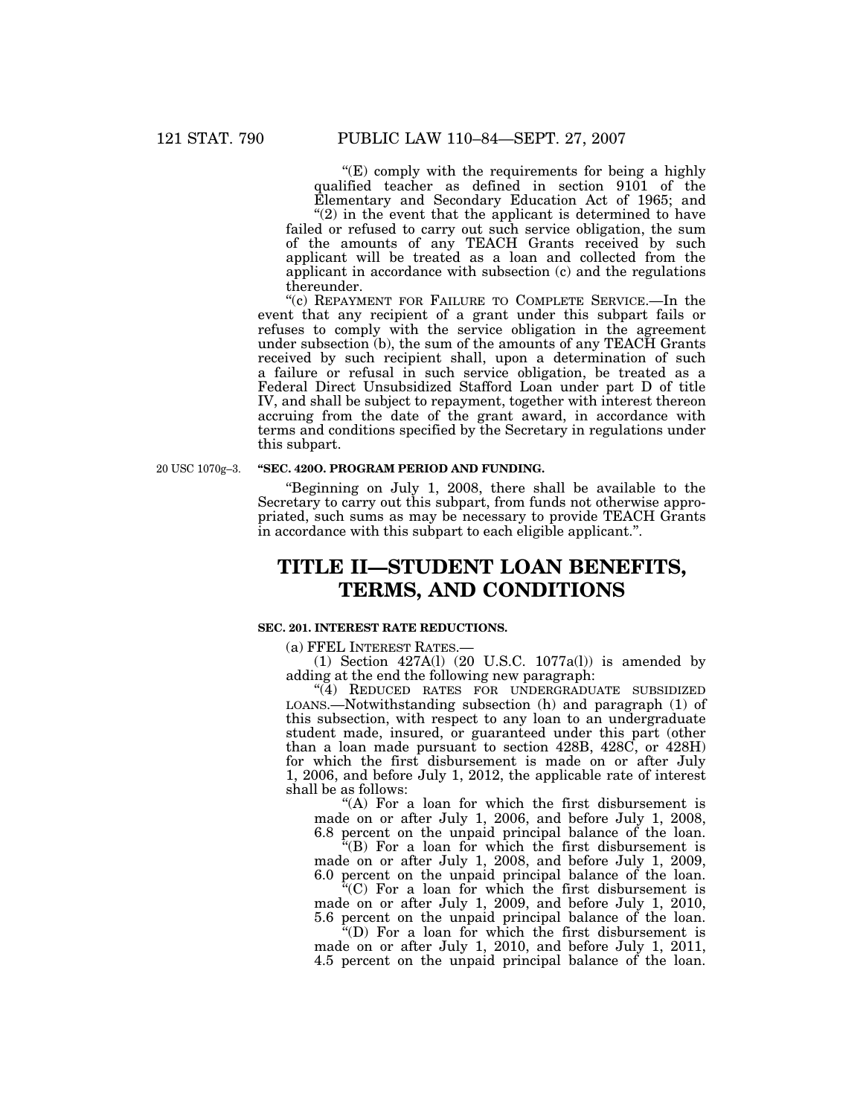" $(E)$  comply with the requirements for being a highly qualified teacher as defined in section 9101 of the Elementary and Secondary Education Act of 1965; and

" $(2)$  in the event that the applicant is determined to have failed or refused to carry out such service obligation, the sum of the amounts of any TEACH Grants received by such applicant will be treated as a loan and collected from the applicant in accordance with subsection (c) and the regulations thereunder.

"(c) REPAYMENT FOR FAILURE TO COMPLETE SERVICE.—In the event that any recipient of a grant under this subpart fails or refuses to comply with the service obligation in the agreement under subsection (b), the sum of the amounts of any TEACH Grants received by such recipient shall, upon a determination of such a failure or refusal in such service obligation, be treated as a Federal Direct Unsubsidized Stafford Loan under part D of title IV, and shall be subject to repayment, together with interest thereon accruing from the date of the grant award, in accordance with terms and conditions specified by the Secretary in regulations under this subpart.

20 USC 1070g–3.

#### **''SEC. 420O. PROGRAM PERIOD AND FUNDING.**

''Beginning on July 1, 2008, there shall be available to the Secretary to carry out this subpart, from funds not otherwise appropriated, such sums as may be necessary to provide TEACH Grants in accordance with this subpart to each eligible applicant.''.

# **TITLE II—STUDENT LOAN BENEFITS, TERMS, AND CONDITIONS**

### **SEC. 201. INTEREST RATE REDUCTIONS.**

(a) FFEL INTEREST RATES.—

(1) Section 427A(l) (20 U.S.C. 1077a(l)) is amended by adding at the end the following new paragraph:

''(4) REDUCED RATES FOR UNDERGRADUATE SUBSIDIZED LOANS.—Notwithstanding subsection (h) and paragraph (1) of this subsection, with respect to any loan to an undergraduate student made, insured, or guaranteed under this part (other than a loan made pursuant to section 428B, 428C, or 428H) for which the first disbursement is made on or after July 1, 2006, and before July 1, 2012, the applicable rate of interest shall be as follows:

''(A) For a loan for which the first disbursement is made on or after July 1, 2006, and before July 1, 2008, 6.8 percent on the unpaid principal balance of the loan.

''(B) For a loan for which the first disbursement is made on or after July 1, 2008, and before July 1, 2009, 6.0 percent on the unpaid principal balance of the loan.

''(C) For a loan for which the first disbursement is made on or after July 1, 2009, and before July 1, 2010, 5.6 percent on the unpaid principal balance of the loan.

 $f(D)$  For a loan for which the first disbursement is made on or after July 1, 2010, and before July 1, 2011, 4.5 percent on the unpaid principal balance of the loan.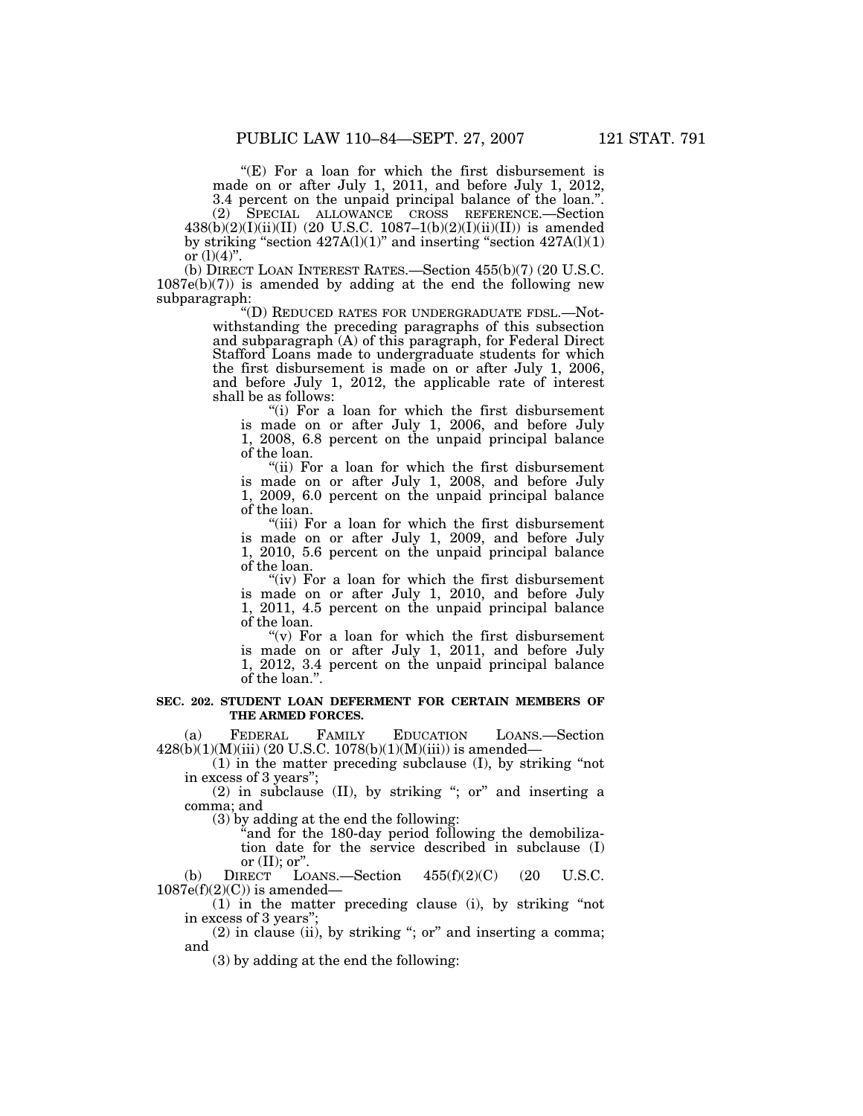" $(E)$  For a loan for which the first disbursement is made on or after July 1, 2011, and before July 1, 2012, 3.4 percent on the unpaid principal balance of the loan.''.

(2) SPECIAL ALLOWANCE CROSS REFERENCE.—Section  $438(b)(2)(I)(ii)(II)$  (20 U.S.C. 1087-1(b)(2)(I)(ii)(II)) is amended by striking "section  $427A(1)(1)$ " and inserting "section  $427A(1)(1)$ " or  $(l)(4)$ ".

(b) DIRECT LOAN INTEREST RATES.—Section 455(b)(7) (20 U.S.C.  $1087e(b)(7)$  is amended by adding at the end the following new subparagraph:

''(D) REDUCED RATES FOR UNDERGRADUATE FDSL.—Notwithstanding the preceding paragraphs of this subsection and subparagraph (A) of this paragraph, for Federal Direct Stafford Loans made to undergraduate students for which the first disbursement is made on or after July 1, 2006, and before July 1, 2012, the applicable rate of interest shall be as follows:

''(i) For a loan for which the first disbursement is made on or after July 1, 2006, and before July 1, 2008, 6.8 percent on the unpaid principal balance of the loan.

"(ii) For a loan for which the first disbursement is made on or after July 1, 2008, and before July 1, 2009, 6.0 percent on the unpaid principal balance of the loan.

"(iii) For a loan for which the first disbursement is made on or after July 1, 2009, and before July 1, 2010, 5.6 percent on the unpaid principal balance of the loan.

"(iv) For a loan for which the first disbursement is made on or after July 1, 2010, and before July 1, 2011, 4.5 percent on the unpaid principal balance of the loan.

" $(v)$  For a loan for which the first disbursement is made on or after July 1, 2011, and before July 1, 2012, 3.4 percent on the unpaid principal balance of the loan.''.

#### **SEC. 202. STUDENT LOAN DEFERMENT FOR CERTAIN MEMBERS OF THE ARMED FORCES.**

(a) FEDERAL FAMILY EDUCATION LOANS.—Section  $428(b)(1)(M)(iii) (20 U.S.C. 1078(b)(1)(M)(iii))$  is amended—

(1) in the matter preceding subclause (I), by striking ''not in excess of 3 years'';

 $(2)$  in subclause  $(II)$ , by striking "; or" and inserting a comma; and

(3) by adding at the end the following:

''and for the 180-day period following the demobilization date for the service described in subclause (I)

or (II); or<br>DIRECT L (b)  $DIRECT$  LOANS.—Section  $455(f)(2)(C)$  (20 U.S.C.  $1087e(f)(2)(C)$ ) is amended-

(1) in the matter preceding clause (i), by striking ''not in excess of 3 years'';

 $(2)$  in clause (ii), by striking "; or" and inserting a comma; and

(3) by adding at the end the following: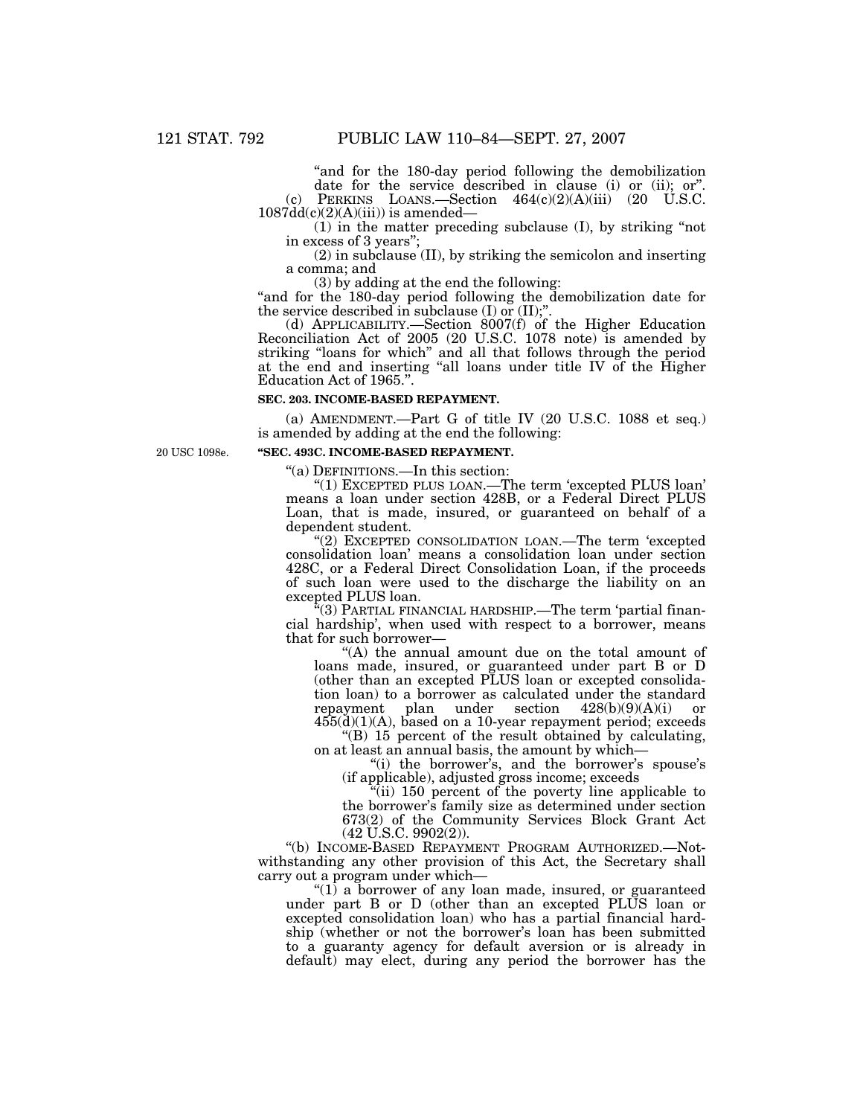''and for the 180-day period following the demobilization date for the service described in clause (i) or (ii); or''. (c) PERKINS LOANS.—Section  $464(c)(2)(A)(iii)$  (20 U.S.C.

 $1087dd(c)(2)(A)(iii)$ ) is amended-

(1) in the matter preceding subclause (I), by striking ''not in excess of 3 years'';

(2) in subclause (II), by striking the semicolon and inserting a comma; and

(3) by adding at the end the following:

"and for the 180-day period following the demobilization date for the service described in subclause (I) or (II);"

(d) APPLICABILITY.—Section  $8007(f)$  of the Higher Education Reconciliation Act of 2005 (20 U.S.C. 1078 note) is amended by striking ''loans for which'' and all that follows through the period at the end and inserting ''all loans under title IV of the Higher Education Act of 1965.''.

### **SEC. 203. INCOME-BASED REPAYMENT.**

(a) AMENDMENT.—Part G of title IV (20 U.S.C. 1088 et seq.) is amended by adding at the end the following:

20 USC 1098e.

#### **''SEC. 493C. INCOME-BASED REPAYMENT.**

''(a) DEFINITIONS.—In this section:

''(1) EXCEPTED PLUS LOAN.—The term 'excepted PLUS loan' means a loan under section 428B, or a Federal Direct PLUS Loan, that is made, insured, or guaranteed on behalf of a dependent student.

''(2) EXCEPTED CONSOLIDATION LOAN.—The term 'excepted consolidation loan' means a consolidation loan under section 428C, or a Federal Direct Consolidation Loan, if the proceeds of such loan were used to the discharge the liability on an excepted PLUS loan.

''(3) PARTIAL FINANCIAL HARDSHIP.—The term 'partial financial hardship', when used with respect to a borrower, means that for such borrower—

''(A) the annual amount due on the total amount of loans made, insured, or guaranteed under part B or D (other than an excepted PLUS loan or excepted consolidation loan) to a borrower as calculated under the standard repayment plan under section 428(b)(9)(A)(i) or 455(d)(1)(A), based on a 10-year repayment period; exceeds

''(B) 15 percent of the result obtained by calculating, on at least an annual basis, the amount by which—

"(i) the borrower's, and the borrower's spouse's (if applicable), adjusted gross income; exceeds

''(ii) 150 percent of the poverty line applicable to the borrower's family size as determined under section 673(2) of the Community Services Block Grant Act (42 U.S.C. 9902(2)).

''(b) INCOME-BASED REPAYMENT PROGRAM AUTHORIZED.—Notwithstanding any other provision of this Act, the Secretary shall carry out a program under which—

" $(1)$  a borrower of any loan made, insured, or guaranteed under part B or D (other than an excepted PLUS loan or excepted consolidation loan) who has a partial financial hardship (whether or not the borrower's loan has been submitted to a guaranty agency for default aversion or is already in default) may elect, during any period the borrower has the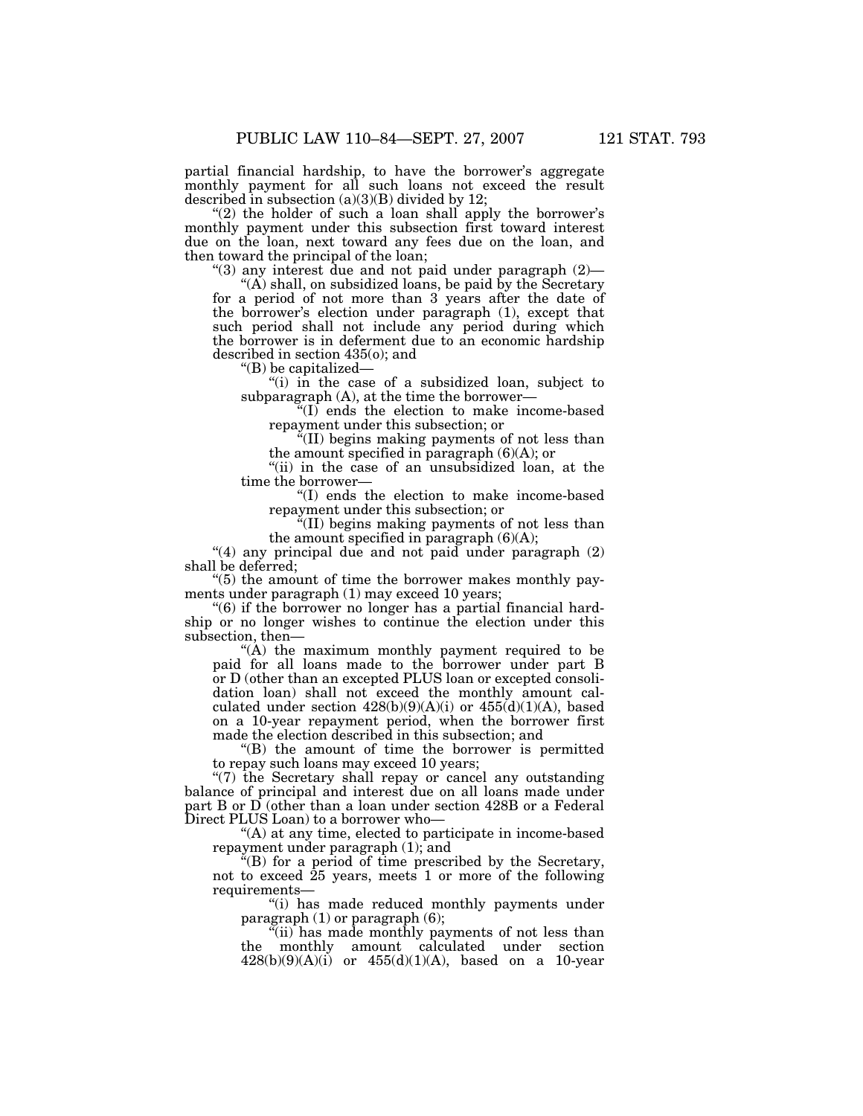partial financial hardship, to have the borrower's aggregate monthly payment for all such loans not exceed the result described in subsection  $(a)(3)(B)$  divided by 12;

" $(2)$  the holder of such a loan shall apply the borrower's monthly payment under this subsection first toward interest due on the loan, next toward any fees due on the loan, and then toward the principal of the loan;

" $(3)$  any interest due and not paid under paragraph  $(2)$ —

 $(A)$  shall, on subsidized loans, be paid by the Secretary for a period of not more than 3 years after the date of the borrower's election under paragraph (1), except that such period shall not include any period during which the borrower is in deferment due to an economic hardship described in section 435(o); and

''(B) be capitalized—

"(i) in the case of a subsidized loan, subject to subparagraph (A), at the time the borrower—

''(I) ends the election to make income-based repayment under this subsection; or

''(II) begins making payments of not less than the amount specified in paragraph  $(6)(A)$ ; or

"(ii) in the case of an unsubsidized loan, at the time the borrower—

''(I) ends the election to make income-based repayment under this subsection; or

''(II) begins making payments of not less than the amount specified in paragraph  $(6)(A)$ ;

" $(4)$  any principal due and not paid under paragraph  $(2)$ shall be deferred;

''(5) the amount of time the borrower makes monthly payments under paragraph (1) may exceed 10 years;

"(6) if the borrower no longer has a partial financial hardship or no longer wishes to continue the election under this subsection, then—

''(A) the maximum monthly payment required to be paid for all loans made to the borrower under part B or D (other than an excepted PLUS loan or excepted consolidation loan) shall not exceed the monthly amount calculated under section  $428(b)(9)(A)(i)$  or  $455(d)(1)(A)$ , based on a 10-year repayment period, when the borrower first made the election described in this subsection; and

''(B) the amount of time the borrower is permitted to repay such loans may exceed 10 years;

''(7) the Secretary shall repay or cancel any outstanding balance of principal and interest due on all loans made under part B or D (other than a loan under section 428B or a Federal Direct PLUS Loan) to a borrower who—

''(A) at any time, elected to participate in income-based repayment under paragraph (1); and

 $E(E)$  for a period of time prescribed by the Secretary, not to exceed  $25$  years, meets 1 or more of the following requirements—

''(i) has made reduced monthly payments under paragraph (1) or paragraph (6);

''(ii) has made monthly payments of not less than the monthly amount calculated under section  $428(b)(9)(A)(i)$  or  $455(d)(1)(A)$ , based on a 10-year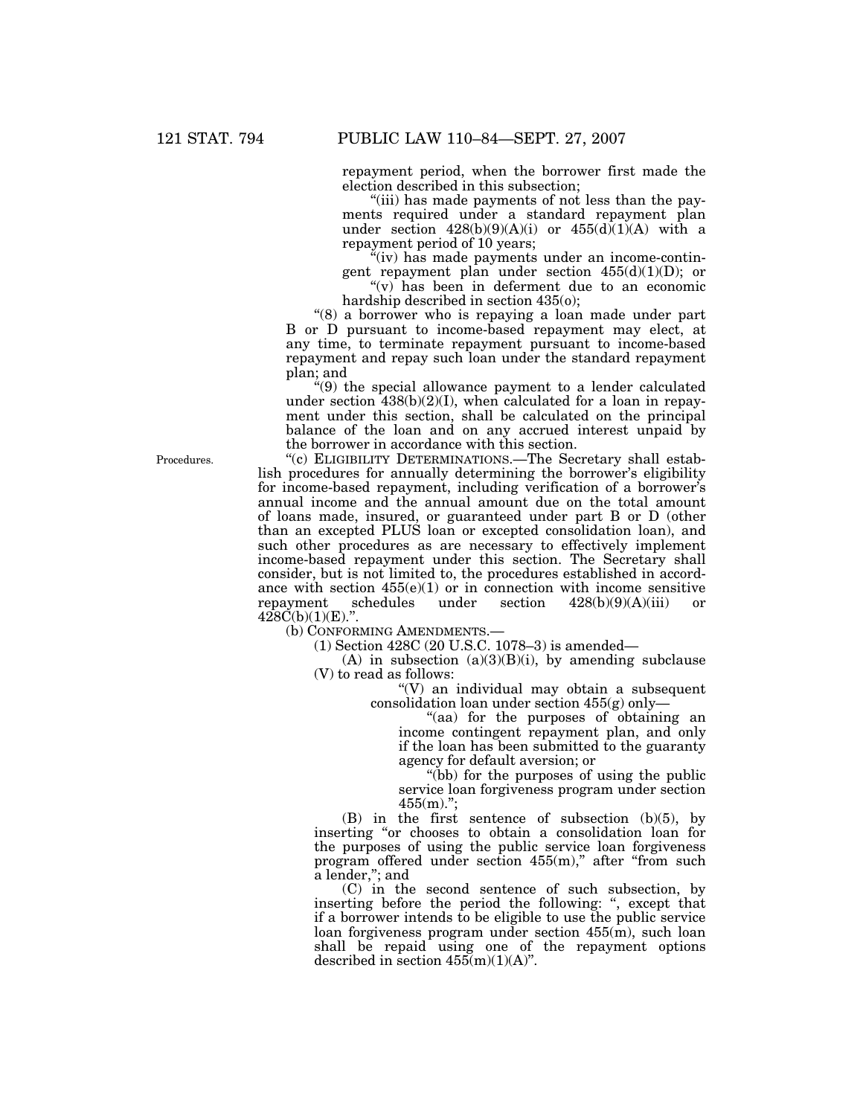repayment period, when the borrower first made the election described in this subsection;

''(iii) has made payments of not less than the payments required under a standard repayment plan under section  $428(b)(9)(A)(i)$  or  $455(d)(1)(A)$  with a repayment period of 10 years;

''(iv) has made payments under an income-contingent repayment plan under section 455(d)(1)(D); or

" $(v)$  has been in deferment due to an economic hardship described in section 435(o);

"(8) a borrower who is repaying a loan made under part B or D pursuant to income-based repayment may elect, at any time, to terminate repayment pursuant to income-based repayment and repay such loan under the standard repayment plan; and

''(9) the special allowance payment to a lender calculated under section 438(b)(2)(I), when calculated for a loan in repayment under this section, shall be calculated on the principal balance of the loan and on any accrued interest unpaid by the borrower in accordance with this section.

''(c) ELIGIBILITY DETERMINATIONS.—The Secretary shall establish procedures for annually determining the borrower's eligibility for income-based repayment, including verification of a borrower's annual income and the annual amount due on the total amount of loans made, insured, or guaranteed under part B or D (other than an excepted PLUS loan or excepted consolidation loan), and such other procedures as are necessary to effectively implement income-based repayment under this section. The Secretary shall consider, but is not limited to, the procedures established in accordance with section  $455(e)(1)$  or in connection with income sensitive repayment schedules under section  $428(b)(9)(A)(iii)$  or repayment schedules under section 428(b)(9)(A)(iii) or  $428C(b)(1)(E).$ ".

(b) CONFORMING AMENDMENTS.

(1) Section 428C (20 U.S.C. 1078–3) is amended—

 $(A)$  in subsection  $(a)(3)(B)(i)$ , by amending subclause (V) to read as follows:

 $\sqrt{\text{V}}$  an individual may obtain a subsequent consolidation loan under section 455(g) only—

''(aa) for the purposes of obtaining an income contingent repayment plan, and only if the loan has been submitted to the guaranty agency for default aversion; or

''(bb) for the purposes of using the public service loan forgiveness program under section 455(m).'';

(B) in the first sentence of subsection (b)(5), by inserting ''or chooses to obtain a consolidation loan for the purposes of using the public service loan forgiveness program offered under section  $455(m)$ ," after "from such a lender,''; and

(C) in the second sentence of such subsection, by inserting before the period the following: ", except that if a borrower intends to be eligible to use the public service loan forgiveness program under section 455(m), such loan shall be repaid using one of the repayment options described in section  $455(m)(1)(A)$ ".

Procedures.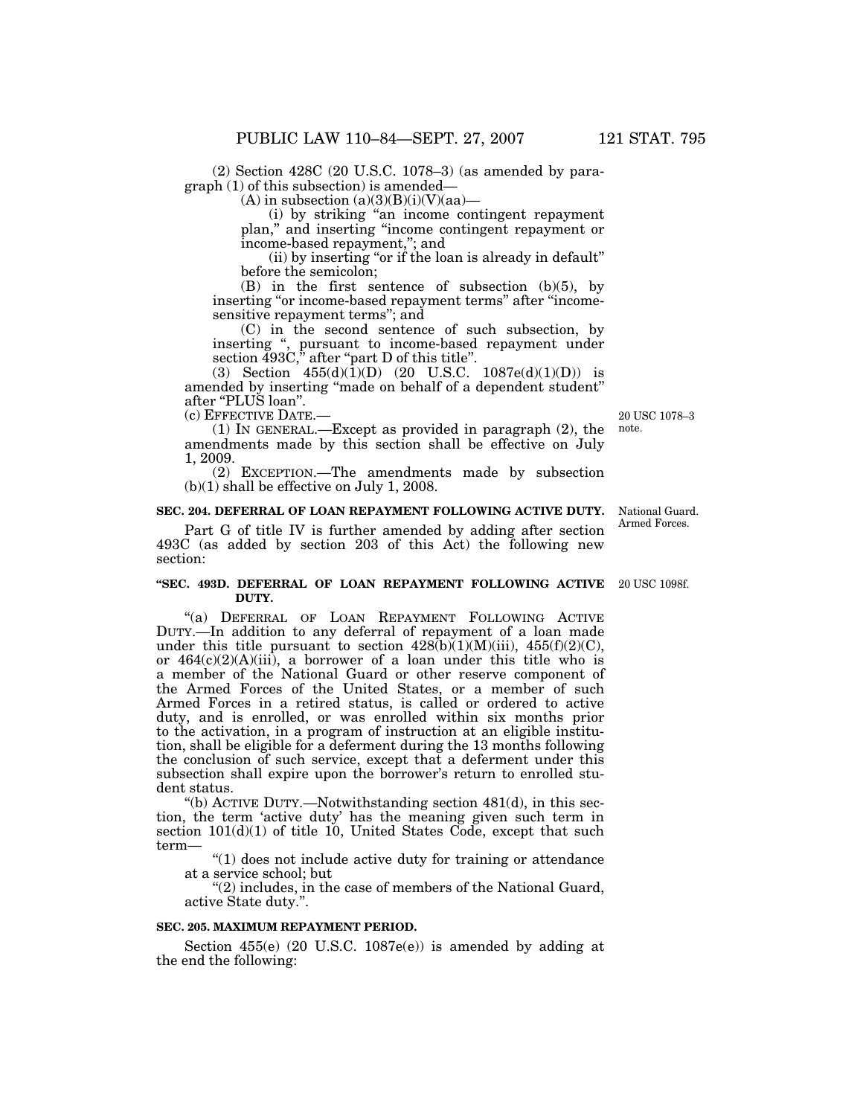(2) Section 428C (20 U.S.C. 1078–3) (as amended by paragraph (1) of this subsection) is amended—

(A) in subsection  $(a)(3)(B)(i)(V)(aa)$ —

(i) by striking ''an income contingent repayment plan,'' and inserting ''income contingent repayment or income-based repayment,''; and

(ii) by inserting "or if the loan is already in default" before the semicolon;

(B) in the first sentence of subsection (b)(5), by inserting "or income-based repayment terms" after "incomesensitive repayment terms''; and

(C) in the second sentence of such subsection, by inserting '', pursuant to income-based repayment under section 493C," after "part D of this title".

(3) Section  $455(d)(1)(D)$  (20 U.S.C.  $1087e(d)(1)(D)$ ) is amended by inserting ''made on behalf of a dependent student'' after "PLUS loan".

(c) EFFECTIVE DATE.—

(1) IN GENERAL.—Except as provided in paragraph (2), the amendments made by this section shall be effective on July 1, 2009.

(2) EXCEPTION.—The amendments made by subsection  $(b)(1)$  shall be effective on July 1, 2008.

## **SEC. 204. DEFERRAL OF LOAN REPAYMENT FOLLOWING ACTIVE DUTY.**

Part G of title IV is further amended by adding after section 493C (as added by section 203 of this Act) the following new section:

#### **''SEC. 493D. DEFERRAL OF LOAN REPAYMENT FOLLOWING ACTIVE**  20 USC 1098f. **DUTY.**

"(a) DEFERRAL OF LOAN REPAYMENT FOLLOWING ACTIVE DUTY.—In addition to any deferral of repayment of a loan made under this title pursuant to section  $428(b)(1)(M)(iii)$ ,  $455(f)(2)(C)$ , or 464(c)(2)(A)(iii), a borrower of a loan under this title who is a member of the National Guard or other reserve component of the Armed Forces of the United States, or a member of such Armed Forces in a retired status, is called or ordered to active duty, and is enrolled, or was enrolled within six months prior to the activation, in a program of instruction at an eligible institution, shall be eligible for a deferment during the 13 months following the conclusion of such service, except that a deferment under this subsection shall expire upon the borrower's return to enrolled student status.

"(b) ACTIVE DUTY.—Notwithstanding section  $481(d)$ , in this section, the term 'active duty' has the meaning given such term in section  $101(d)(1)$  of title 10, United States Code, except that such term—

''(1) does not include active duty for training or attendance at a service school; but

"(2) includes, in the case of members of the National Guard, active State duty.''.

#### **SEC. 205. MAXIMUM REPAYMENT PERIOD.**

Section 455(e) (20 U.S.C. 1087e(e)) is amended by adding at the end the following:

20 USC 1078–3 note.

National Guard. Armed Forces.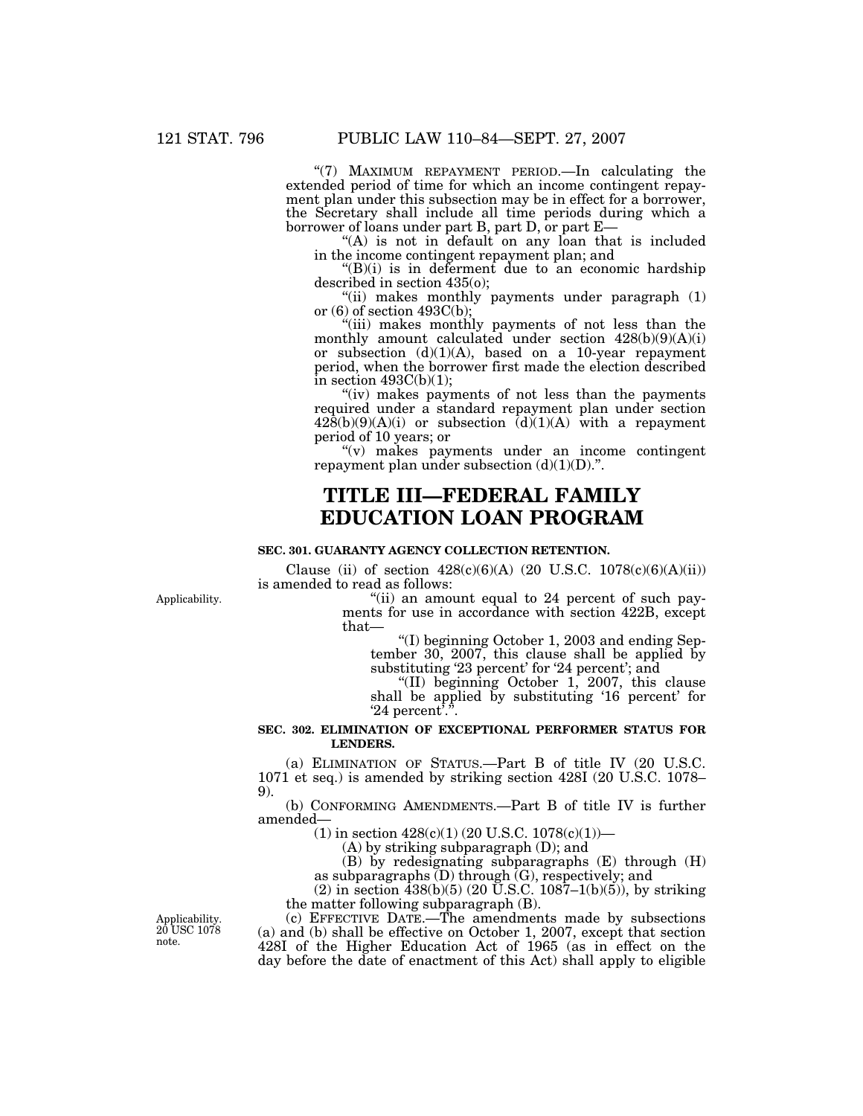"(7) MAXIMUM REPAYMENT PERIOD.—In calculating the extended period of time for which an income contingent repayment plan under this subsection may be in effect for a borrower, the Secretary shall include all time periods during which a borrower of loans under part B, part D, or part E-

" $(A)$  is not in default on any loan that is included in the income contingent repayment plan; and

 $'(B)(i)$  is in deferment due to an economic hardship described in section 435(o);

"(ii) makes monthly payments under paragraph  $(1)$ or  $(6)$  of section 493C(b);

"(iii) makes monthly payments of not less than the monthly amount calculated under section 428(b)(9)(A)(i) or subsection (d)(1)(A), based on a 10-year repayment period, when the borrower first made the election described in section  $493C(b)(1)$ ;

"(iv) makes payments of not less than the payments required under a standard repayment plan under section  $428(b)(9)(A)(i)$  or subsection  $(d)(1)(A)$  with a repayment period of 10 years; or

''(v) makes payments under an income contingent repayment plan under subsection  $(d)(1)(D)$ .".

# **TITLE III—FEDERAL FAMILY EDUCATION LOAN PROGRAM**

### **SEC. 301. GUARANTY AGENCY COLLECTION RETENTION.**

Clause (ii) of section  $428(c)(6)(A)$  (20 U.S.C. 1078(c)(6)(A)(ii)) is amended to read as follows:

Applicability.

"(ii) an amount equal to 24 percent of such payments for use in accordance with section 422B, except that—

''(I) beginning October 1, 2003 and ending September 30, 2007, this clause shall be applied by substituting '23 percent' for '24 percent'; and

''(II) beginning October 1, 2007, this clause shall be applied by substituting '16 percent' for '24 percent'.''.

#### **SEC. 302. ELIMINATION OF EXCEPTIONAL PERFORMER STATUS FOR LENDERS.**

(a) ELIMINATION OF STATUS.—Part B of title IV (20 U.S.C. 1071 et seq.) is amended by striking section 428I (20 U.S.C. 1078– 9).

(b) CONFORMING AMENDMENTS.—Part B of title IV is further amended—

 $(1)$  in section  $428(c)(1)(20$  U.S.C.  $1078(c)(1)$ —

(A) by striking subparagraph (D); and

(B) by redesignating subparagraphs (E) through (H) as subparagraphs (D) through (G), respectively; and

 $(2)$  in section  $\frac{1}{4}38(b)(5)$  (20 U.S.C. 1087–1(b)(5)), by striking the matter following subparagraph (B).

(c) EFFECTIVE DATE.—The amendments made by subsections (a) and (b) shall be effective on October 1, 2007, except that section 428I of the Higher Education Act of 1965 (as in effect on the day before the date of enactment of this Act) shall apply to eligible

Applicability. 20 USC 1078 note.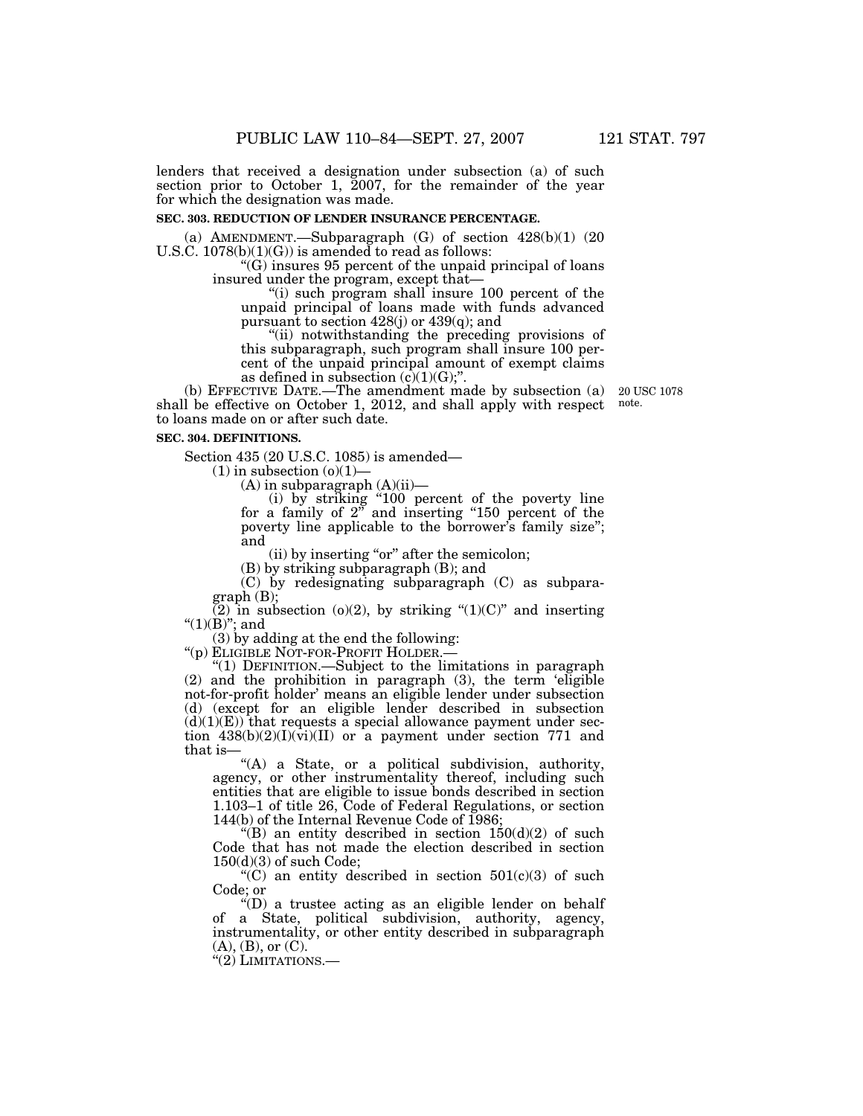lenders that received a designation under subsection (a) of such section prior to October 1, 2007, for the remainder of the year for which the designation was made.

#### **SEC. 303. REDUCTION OF LENDER INSURANCE PERCENTAGE.**

(a) AMENDMENT.—Subparagraph  $(G)$  of section  $428(b)(1)$   $(20)$ U.S.C.  $1078(b)(1)(G)$  is amended to read as follows:

''(G) insures 95 percent of the unpaid principal of loans insured under the program, except that—

"(i) such program shall insure 100 percent of the unpaid principal of loans made with funds advanced pursuant to section 428(j) or 439(q); and

''(ii) notwithstanding the preceding provisions of this subparagraph, such program shall insure 100 percent of the unpaid principal amount of exempt claims as defined in subsection  $(c)(1)(G)$ ;".

(b) EFFECTIVE DATE.—The amendment made by subsection (a) shall be effective on October 1, 2012, and shall apply with respect to loans made on or after such date.

#### **SEC. 304. DEFINITIONS.**

Section 435 (20 U.S.C. 1085) is amended—

 $(1)$  in subsection  $(o)(1)$ —

 $(A)$  in subparagraph  $(A)(ii)$ —

(i) by striking ''100 percent of the poverty line for a family of 2'' and inserting ''150 percent of the poverty line applicable to the borrower's family size''; and

(ii) by inserting "or" after the semicolon;

(B) by striking subparagraph (B); and

(C) by redesignating subparagraph (C) as subparagraph (B);

(2) in subsection (o)(2), by striking " $(1)(C)$ " and inserting " $(1)(B)$ "; and

(3) by adding at the end the following:<br>"(p) ELIGIBLE NOT-FOR-PROFIT HOLDER.—

"(1) DEFINITION.—Subject to the limitations in paragraph (2) and the prohibition in paragraph (3), the term 'eligible not-for-profit holder' means an eligible lender under subsection (d) (except for an eligible lender described in subsection  $(d)(1)(E)$  that requests a special allowance payment under section  $438(b)(2)(I)(vi)(II)$  or a payment under section 771 and that is—

"(A) a State, or a political subdivision, authority, agency, or other instrumentality thereof, including such entities that are eligible to issue bonds described in section 1.103–1 of title 26, Code of Federal Regulations, or section 144(b) of the Internal Revenue Code of 1986;

"(B) an entity described in section  $150(d)(2)$  of such Code that has not made the election described in section 150(d)(3) of such Code;

 $'(C)$  an entity described in section  $501(c)(3)$  of such Code; or

''(D) a trustee acting as an eligible lender on behalf of a State, political subdivision, authority, agency, instrumentality, or other entity described in subparagraph  $(A), (B),$  or  $(C).$ 

''(2) LIMITATIONS.—

20 USC 1078 note.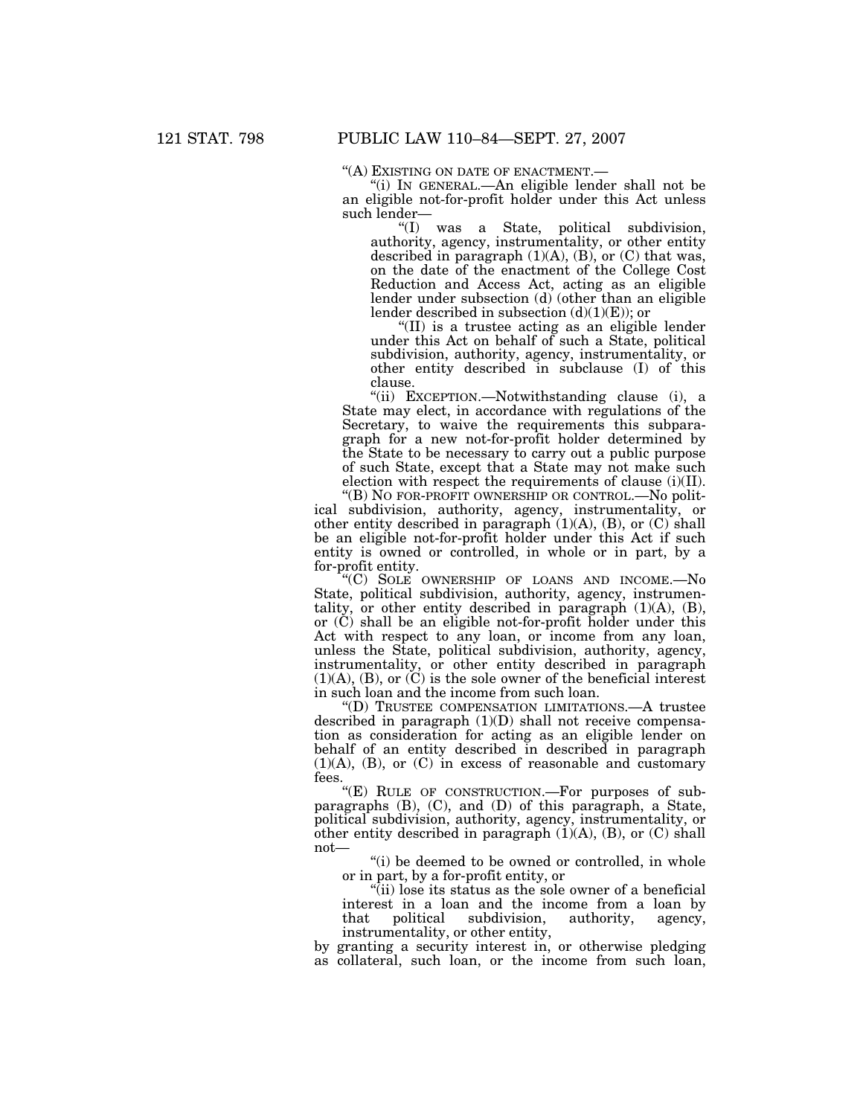''(A) EXISTING ON DATE OF ENACTMENT.— ''(i) IN GENERAL.—An eligible lender shall not be an eligible not-for-profit holder under this Act unless such lender—

''(I) was a State, political subdivision, authority, agency, instrumentality, or other entity described in paragraph  $(1)(A)$ ,  $(B)$ , or  $(C)$  that was, on the date of the enactment of the College Cost Reduction and Access Act, acting as an eligible lender under subsection (d) (other than an eligible lender described in subsection  $(d)(1)(E)$ ; or

''(II) is a trustee acting as an eligible lender under this Act on behalf of such a State, political subdivision, authority, agency, instrumentality, or other entity described in subclause (I) of this clause.

''(ii) EXCEPTION.—Notwithstanding clause (i), a State may elect, in accordance with regulations of the Secretary, to waive the requirements this subparagraph for a new not-for-profit holder determined by the State to be necessary to carry out a public purpose of such State, except that a State may not make such election with respect the requirements of clause (i)(II). ''(B) NO FOR-PROFIT OWNERSHIP OR CONTROL.—No polit-

ical subdivision, authority, agency, instrumentality, or other entity described in paragraph (1)(A), (B), or (C) shall be an eligible not-for-profit holder under this Act if such entity is owned or controlled, in whole or in part, by a for-profit entity.

''(C) SOLE OWNERSHIP OF LOANS AND INCOME.—No State, political subdivision, authority, agency, instrumentality, or other entity described in paragraph (1)(A), (B), or (C) shall be an eligible not-for-profit holder under this Act with respect to any loan, or income from any loan, unless the State, political subdivision, authority, agency, instrumentality, or other entity described in paragraph  $(1)(A)$ ,  $(B)$ , or  $(C)$  is the sole owner of the beneficial interest in such loan and the income from such loan.

''(D) TRUSTEE COMPENSATION LIMITATIONS.—A trustee described in paragraph (1)(D) shall not receive compensation as consideration for acting as an eligible lender on behalf of an entity described in described in paragraph (1)(A), (B), or (C) in excess of reasonable and customary fees.

''(E) RULE OF CONSTRUCTION.—For purposes of subparagraphs (B), (C), and (D) of this paragraph, a State, political subdivision, authority, agency, instrumentality, or other entity described in paragraph  $(1)(A)$ ,  $(B)$ , or  $(C)$  shall not—

"(i) be deemed to be owned or controlled, in whole or in part, by a for-profit entity, or

''(ii) lose its status as the sole owner of a beneficial interest in a loan and the income from a loan by that political subdivision, authority, agency. political subdivision, authority, agency, instrumentality, or other entity,

by granting a security interest in, or otherwise pledging as collateral, such loan, or the income from such loan,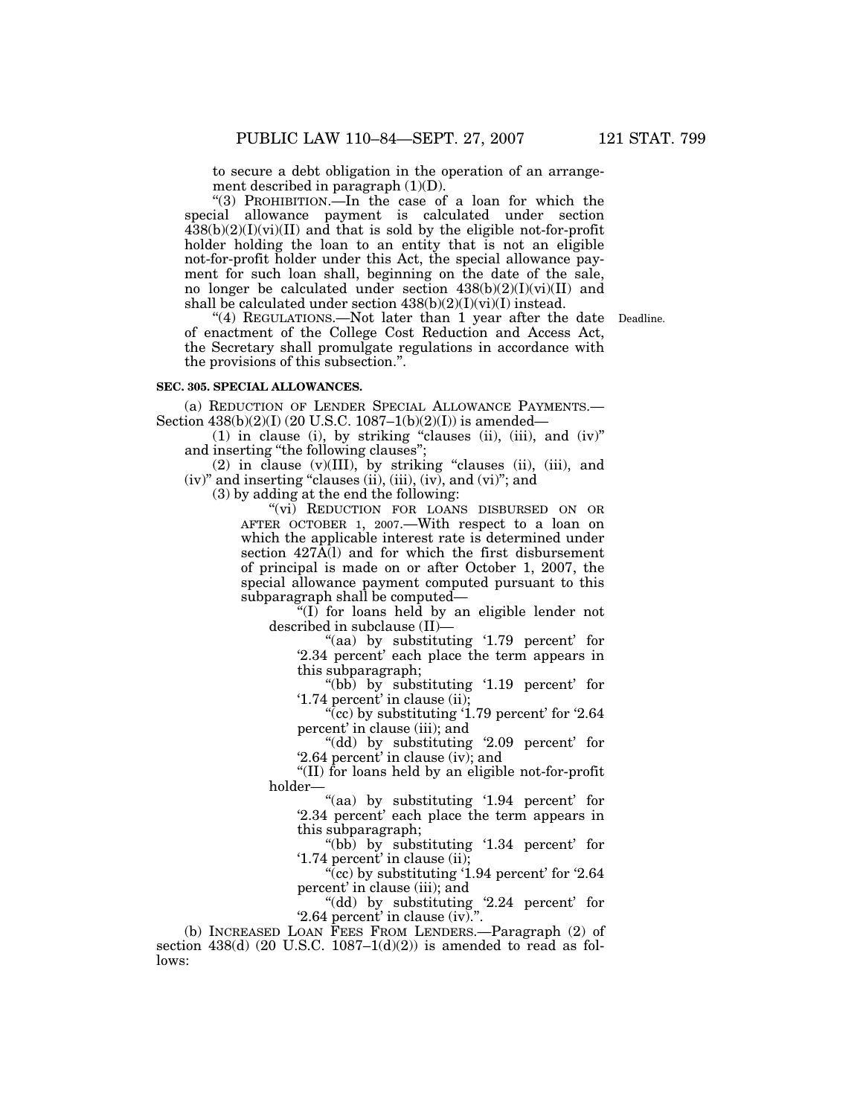to secure a debt obligation in the operation of an arrangement described in paragraph (1)(D).

"(3) PROHIBITION.—In the case of a loan for which the special allowance payment is calculated under section  $438(b)(2)(I)(vi)(II)$  and that is sold by the eligible not-for-profit holder holding the loan to an entity that is not an eligible not-for-profit holder under this Act, the special allowance payment for such loan shall, beginning on the date of the sale, no longer be calculated under section  $438(b)(2)(I)(vi)(II)$  and shall be calculated under section  $438(b)(2)(I)(vi)(I)$  instead.

"(4) REGULATIONS.—Not later than 1 year after the date Deadline. of enactment of the College Cost Reduction and Access Act, the Secretary shall promulgate regulations in accordance with the provisions of this subsection.''.

#### **SEC. 305. SPECIAL ALLOWANCES.**

(a) REDUCTION OF LENDER SPECIAL ALLOWANCE PAYMENTS.— Section 438(b)(2)(I) (20 U.S.C. 1087–1(b)(2)(I)) is amended—

(1) in clause (i), by striking ''clauses (ii), (iii), and (iv)'' and inserting "the following clauses";

 $(2)$  in clause  $(v)(III)$ , by striking "clauses  $(ii)$ ,  $(iii)$ , and  $(iv)$ " and inserting "clauses  $(ii)$ ,  $(iii)$ ,  $(iv)$ , and  $(vi)$ "; and

(3) by adding at the end the following:

"(vi) REDUCTION FOR LOANS DISBURSED ON OR AFTER OCTOBER 1, 2007.—With respect to a loan on which the applicable interest rate is determined under section 427A(l) and for which the first disbursement of principal is made on or after October 1, 2007, the special allowance payment computed pursuant to this subparagraph shall be computed—

" $(I)$  for loans held by an eligible lender not described in subclause (II)—

"(aa) by substituting '1.79 percent' for '2.34 percent' each place the term appears in this subparagraph;

''(bb) by substituting '1.19 percent' for '1.74 percent' in clause (ii);

"(cc) by substituting  $1.79$  percent' for  $2.64$ percent' in clause (iii); and

''(dd) by substituting '2.09 percent' for '2.64 percent' in clause (iv); and

''(II) for loans held by an eligible not-for-profit holder—

"(aa) by substituting '1.94 percent' for '2.34 percent' each place the term appears in this subparagraph;

''(bb) by substituting '1.34 percent' for '1.74 percent' in clause (ii);

"(cc) by substituting  $1.94$  percent' for  $2.64$ percent' in clause (iii); and

''(dd) by substituting '2.24 percent' for '2.64 percent' in clause (iv).''.

(b) INCREASED LOAN FEES FROM LENDERS.—Paragraph (2) of section  $438(d)$  (20 U.S.C. 1087-1(d)(2)) is amended to read as follows: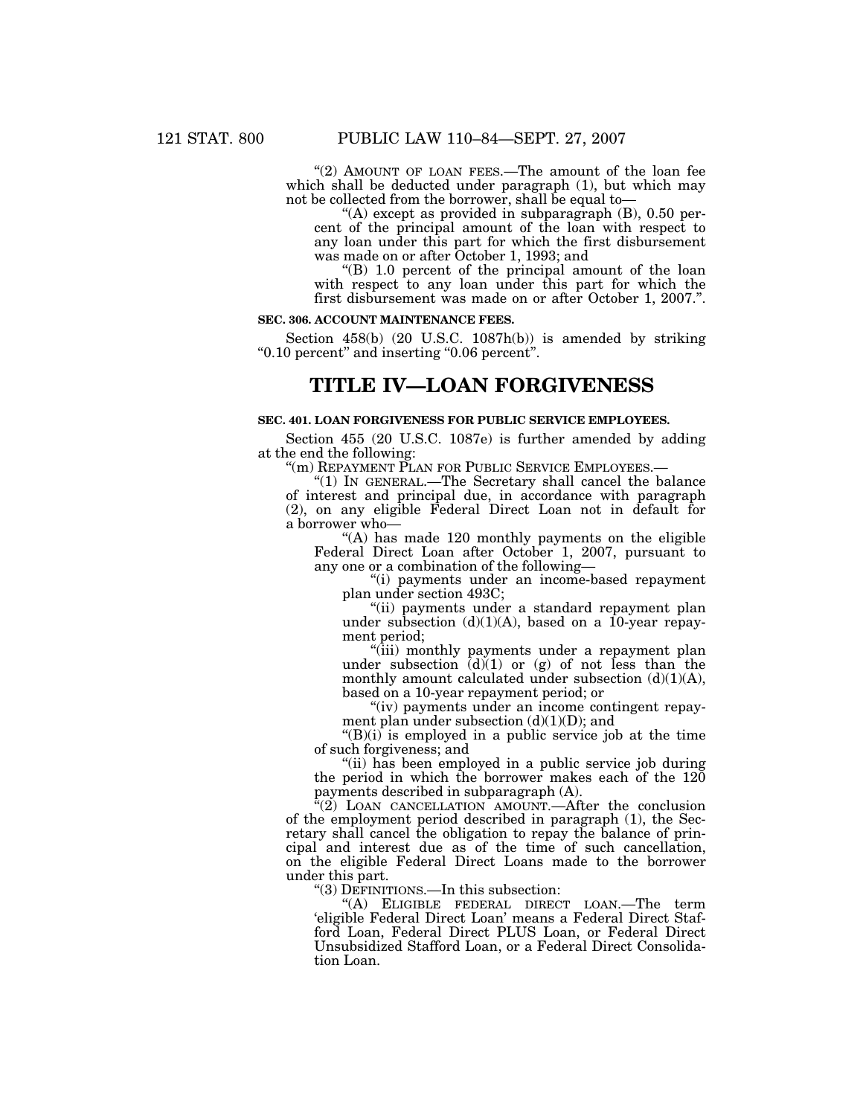"(2) AMOUNT OF LOAN FEES.—The amount of the loan fee which shall be deducted under paragraph  $(1)$ , but which may not be collected from the borrower, shall be equal to—

"(A) except as provided in subparagraph (B), 0.50 percent of the principal amount of the loan with respect to any loan under this part for which the first disbursement was made on or after October 1, 1993; and

''(B) 1.0 percent of the principal amount of the loan with respect to any loan under this part for which the first disbursement was made on or after October 1, 2007.''.

#### **SEC. 306. ACCOUNT MAINTENANCE FEES.**

Section 458(b) (20 U.S.C. 1087h(b)) is amended by striking ''0.10 percent'' and inserting ''0.06 percent''.

# **TITLE IV—LOAN FORGIVENESS**

### **SEC. 401. LOAN FORGIVENESS FOR PUBLIC SERVICE EMPLOYEES.**

Section 455 (20 U.S.C. 1087e) is further amended by adding at the end the following:

"(m) REPAYMENT PLAN FOR PUBLIC SERVICE EMPLOYEES.-

''(1) IN GENERAL.—The Secretary shall cancel the balance of interest and principal due, in accordance with paragraph (2), on any eligible Federal Direct Loan not in default for a borrower who—

"(A) has made 120 monthly payments on the eligible Federal Direct Loan after October 1, 2007, pursuant to any one or a combination of the following—

''(i) payments under an income-based repayment plan under section 493C;

''(ii) payments under a standard repayment plan under subsection  $(d)(1)(A)$ , based on a 10-year repayment period;

''(iii) monthly payments under a repayment plan under subsection  $\ddot{d}(1)$  or  $(g)$  of not less than the monthly amount calculated under subsection  $(d)(1)(A)$ , based on a 10-year repayment period; or

''(iv) payments under an income contingent repayment plan under subsection  $(d)(1)(D)$ ; and

 $\mathcal{L}(B)(i)$  is employed in a public service job at the time of such forgiveness; and

''(ii) has been employed in a public service job during the period in which the borrower makes each of the 120 payments described in subparagraph (A).

 $\sqrt[n]{(2)}$  LOAN CANCELLATION AMOUNT.—After the conclusion of the employment period described in paragraph (1), the Secretary shall cancel the obligation to repay the balance of principal and interest due as of the time of such cancellation, on the eligible Federal Direct Loans made to the borrower under this part.

''(3) DEFINITIONS.—In this subsection:

''(A) ELIGIBLE FEDERAL DIRECT LOAN.—The term 'eligible Federal Direct Loan' means a Federal Direct Stafford Loan, Federal Direct PLUS Loan, or Federal Direct Unsubsidized Stafford Loan, or a Federal Direct Consolidation Loan.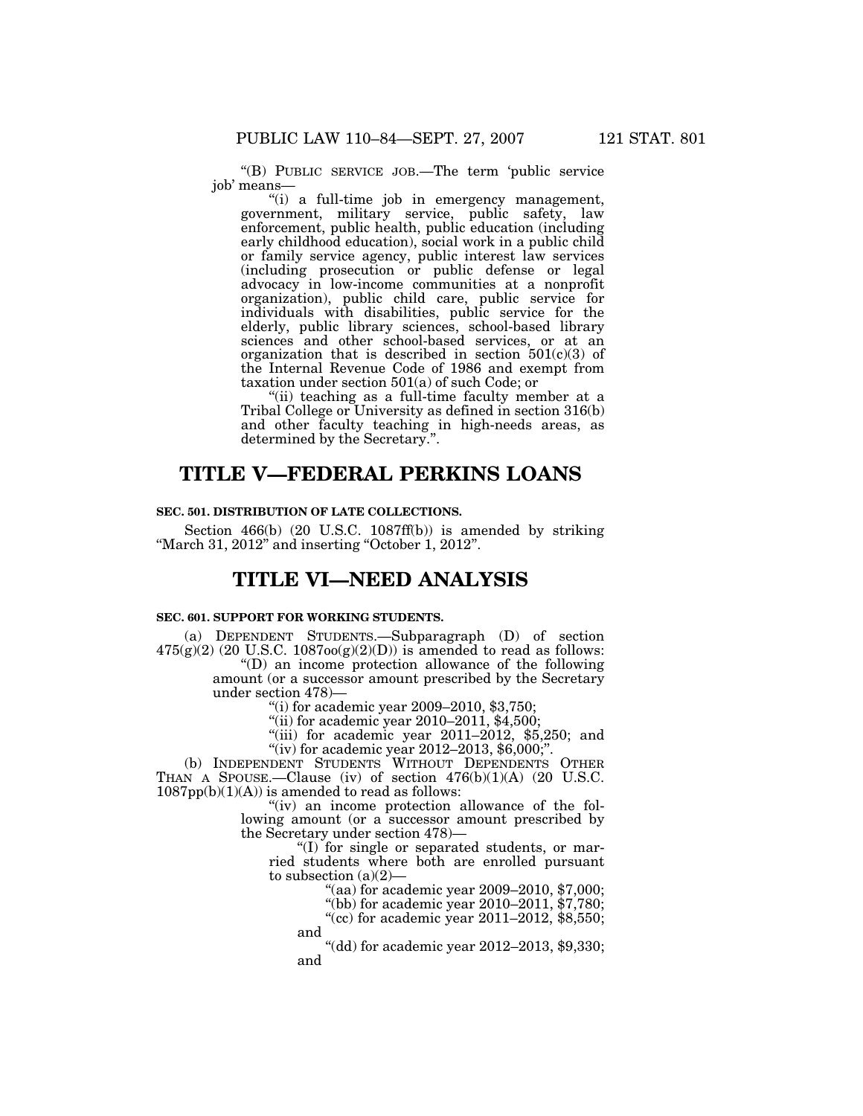''(B) PUBLIC SERVICE JOB.—The term 'public service job' means—

''(i) a full-time job in emergency management, government, military service, public safety, law enforcement, public health, public education (including early childhood education), social work in a public child or family service agency, public interest law services (including prosecution or public defense or legal advocacy in low-income communities at a nonprofit organization), public child care, public service for individuals with disabilities, public service for the elderly, public library sciences, school-based library sciences and other school-based services, or at an organization that is described in section 501(c)(3) of the Internal Revenue Code of 1986 and exempt from taxation under section 501(a) of such Code; or

"(ii) teaching as a full-time faculty member at a Tribal College or University as defined in section 316(b) and other faculty teaching in high-needs areas, as determined by the Secretary.''.

# **TITLE V—FEDERAL PERKINS LOANS**

## **SEC. 501. DISTRIBUTION OF LATE COLLECTIONS.**

Section 466(b) (20 U.S.C. 1087ff(b)) is amended by striking "March 31, 2012" and inserting "October 1, 2012".

# **TITLE VI—NEED ANALYSIS**

#### **SEC. 601. SUPPORT FOR WORKING STUDENTS.**

(a) DEPENDENT STUDENTS.—Subparagraph (D) of section  $475(g)(2)$  (20 U.S.C.  $1087oo(g)(2)(D)$ ) is amended to read as follows:

''(D) an income protection allowance of the following amount (or a successor amount prescribed by the Secretary under section 478)—

"(i) for academic year  $2009 - 2010$ , \$3,750;

 $"$ (ii) for academic year 2010–2011, \$4,500;

"(iii) for academic year  $2011-2012$ , \$5,250; and "(iv) for academic year 2012–2013,  $$6,000$ ;".

(b) INDEPENDENT STUDENTS WITHOUT DEPENDENTS OTHER THAN A SPOUSE.—Clause (iv) of section 476(b)(1)(A) (20 U.S.C.  $1087pp(b)(1)(A)$  is amended to read as follows:

> "(iv) an income protection allowance of the following amount (or a successor amount prescribed by the Secretary under section 478)—

''(I) for single or separated students, or married students where both are enrolled pursuant to subsection  $(a)(2)$ 

"(aa) for academic year 2009-2010, \$7,000;

"(bb) for academic year 2010-2011, \$7,780;

"(cc) for academic year 2011–2012, \$8,550; and

''(dd) for academic year 2012–2013, \$9,330; and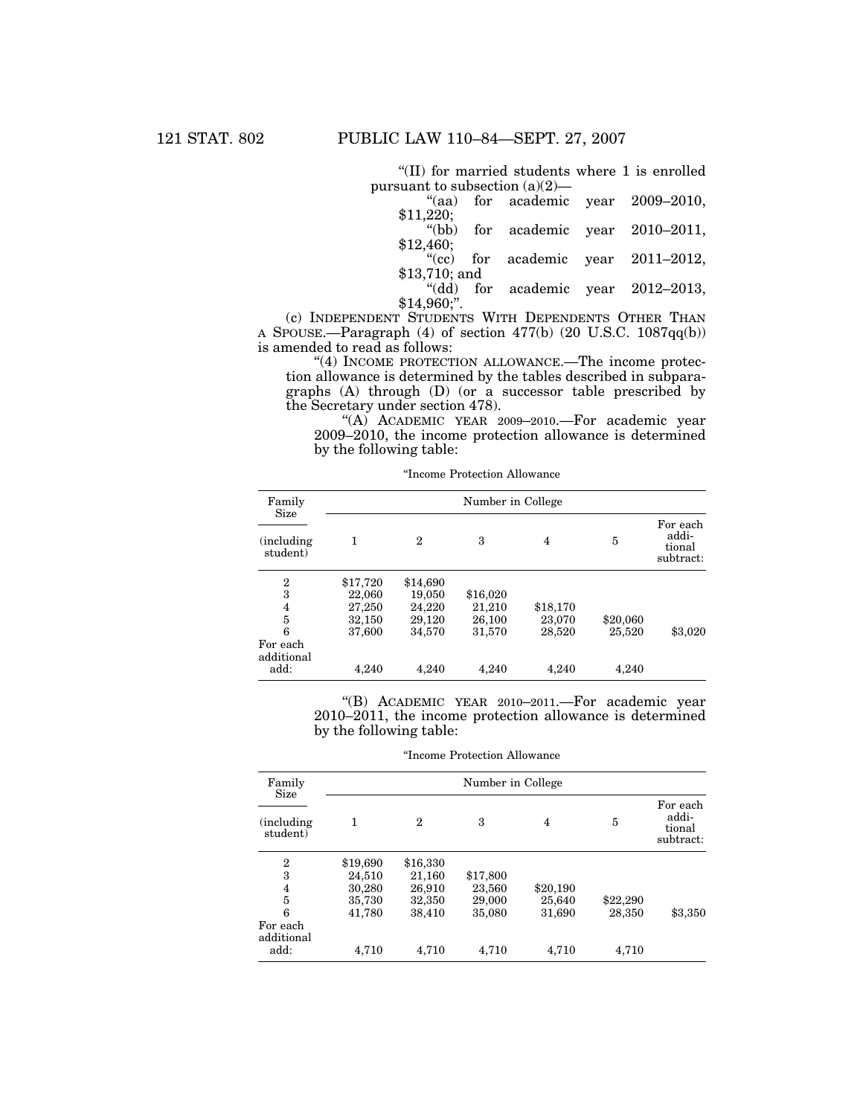''(II) for married students where 1 is enrolled pursuant to subsection (a)(2)—

|                |  | "(aa) for academic year $2009-2010$ , |
|----------------|--|---------------------------------------|
| \$11,220;      |  | "(bb) for academic year $2010-2011$ , |
| \$12,460;      |  |                                       |
|                |  | "(cc) for academic year $2011-2012$ , |
| $$13,710;$ and |  |                                       |
|                |  | "(dd) for academic year $2012-2013$ , |
| $+ - - - - -$  |  |                                       |

 $$14,960$ ;".

(c) INDEPENDENT STUDENTS WITH DEPENDENTS OTHER THAN A SPOUSE.—Paragraph (4) of section 477(b) (20 U.S.C. 1087qq(b)) is amended to read as follows:

"(4) INCOME PROTECTION ALLOWANCE.—The income protection allowance is determined by the tables described in subparagraphs (A) through (D) (or a successor table prescribed by the Secretary under section 478).

"(A) ACADEMIC YEAR 2009-2010. For academic year 2009–2010, the income protection allowance is determined by the following table:

| Family                              | Number in College                      |                                        |                              |                    |                 |                                          |
|-------------------------------------|----------------------------------------|----------------------------------------|------------------------------|--------------------|-----------------|------------------------------------------|
| Size<br>(including)<br>student)     | 1                                      | $\mathbf{2}$                           | 3                            | $\overline{4}$     | 5               | For each<br>addi-<br>tional<br>subtract: |
| $\overline{2}$<br>3<br>4<br>5       | \$17,720<br>22,060<br>27,250<br>32,150 | \$14,690<br>19,050<br>24,220<br>29,120 | \$16,020<br>21,210<br>26,100 | \$18,170<br>23,070 | \$20,060        |                                          |
| 6<br>For each<br>additional<br>add: | 37,600<br>4,240                        | 34,570<br>4,240                        | 31,570<br>4,240              | 28,520<br>4,240    | 25,520<br>4,240 | \$3,020                                  |

''Income Protection Allowance

''(B) ACADEMIC YEAR 2010–2011.—For academic year 2010–2011, the income protection allowance is determined by the following table:

''Income Protection Allowance

| Family<br>Size          | Number in College |              |          |                |          |                                          |  |  |
|-------------------------|-------------------|--------------|----------|----------------|----------|------------------------------------------|--|--|
| (including)<br>student) | 1                 | $\mathbf{2}$ | 3        | $\overline{4}$ | 5        | For each<br>addi-<br>tional<br>subtract: |  |  |
| 2                       | \$19,690          | \$16,330     |          |                |          |                                          |  |  |
| 3                       | 24,510            | 21,160       | \$17,800 |                |          |                                          |  |  |
| 4                       | 30,280            | 26,910       | 23,560   | \$20,190       |          |                                          |  |  |
| 5                       | 35,730            | 32,350       | 29,000   | 25,640         | \$22,290 |                                          |  |  |
| 6                       | 41,780            | 38,410       | 35,080   | 31,690         | 28,350   | \$3,350                                  |  |  |
| For each<br>additional  |                   |              |          |                |          |                                          |  |  |
| add:                    | 4.710             | 4.710        | 4,710    | 4,710          | 4,710    |                                          |  |  |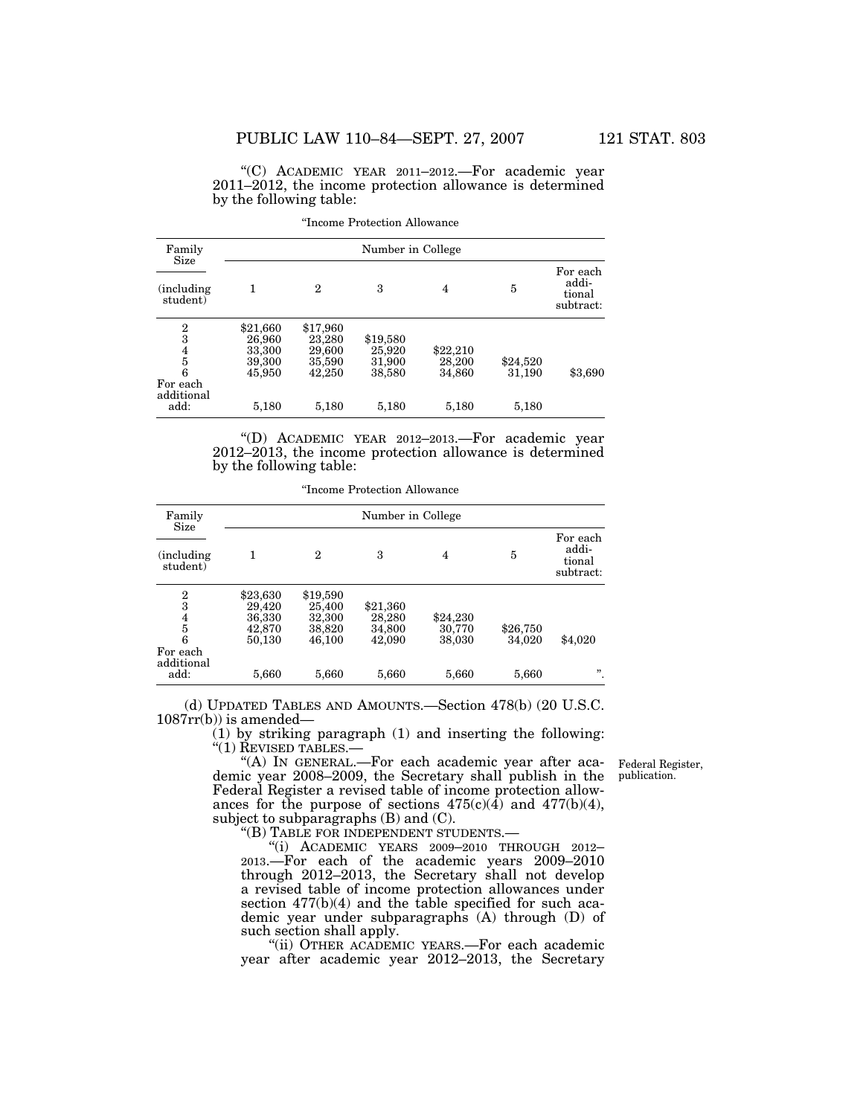''(C) ACADEMIC YEAR 2011–2012.—For academic year 2011–2012, the income protection allowance is determined by the following table:

| Family<br>Size                                                        | Number in College                                         |                                                           |                                                 |                                       |                             |                                          |  |
|-----------------------------------------------------------------------|-----------------------------------------------------------|-----------------------------------------------------------|-------------------------------------------------|---------------------------------------|-----------------------------|------------------------------------------|--|
| <i>(including)</i><br>student)                                        | 1                                                         | 2                                                         | 3                                               | 4                                     | 5                           | For each<br>addi-<br>tional<br>subtract: |  |
| $\frac{2}{3}$<br>$\frac{4}{5}$<br>6<br>For each<br>additional<br>add: | \$21,660<br>26,960<br>33,300<br>39,300<br>45,950<br>5,180 | \$17,960<br>23,280<br>29,600<br>35,590<br>42,250<br>5,180 | \$19,580<br>25,920<br>31,900<br>38,580<br>5,180 | \$22,210<br>28,200<br>34,860<br>5,180 | \$24,520<br>31,190<br>5,180 | \$3,690                                  |  |

''Income Protection Allowance

''(D) ACADEMIC YEAR 2012–2013.—For academic year 2012–2013, the income protection allowance is determined by the following table:

''Income Protection Allowance

| Family                                 | Number in College                      |                                        |                              |                    |          |                                          |  |
|----------------------------------------|----------------------------------------|----------------------------------------|------------------------------|--------------------|----------|------------------------------------------|--|
| Size<br><i>(including)</i><br>student) | 1                                      | 2                                      | 3                            | 4                  | 5        | For each<br>addi-<br>tional<br>subtract: |  |
| 2<br>3<br>$\frac{4}{5}$                | \$23,630<br>29,420<br>36,330<br>42,870 | \$19,590<br>25,400<br>32,300<br>38,820 | \$21,360<br>28,280<br>34,800 | \$24,230<br>30,770 | \$26,750 |                                          |  |
| 6<br>For each<br>additional            | 50,130                                 | 46,100                                 | 42,090                       | 38,030             | 34,020   | \$4,020                                  |  |
| add:                                   | 5,660                                  | 5,660                                  | 5,660                        | 5,660              | 5,660    | "                                        |  |

(d) UPDATED TABLES AND AMOUNTS.—Section 478(b) (20 U.S.C.  $1087rr(b)$ ) is amended—

(1) by striking paragraph (1) and inserting the following: "(1) REVISED TABLES.-

"(A) In GENERAL.—For each academic year after academic year 2008–2009, the Secretary shall publish in the Federal Register a revised table of income protection allowances for the purpose of sections  $475(c)(4)$  and  $477(b)(4)$ , subject to subparagraphs (B) and (C).

''(B) TABLE FOR INDEPENDENT STUDENTS.—

''(i) ACADEMIC YEARS 2009–2010 THROUGH 2012– 2013.—For each of the academic years 2009–2010 through 2012–2013, the Secretary shall not develop a revised table of income protection allowances under section 477(b)(4) and the table specified for such academic year under subparagraphs (A) through (D) of such section shall apply.

''(ii) OTHER ACADEMIC YEARS.—For each academic year after academic year 2012–2013, the Secretary

Federal Register, publication.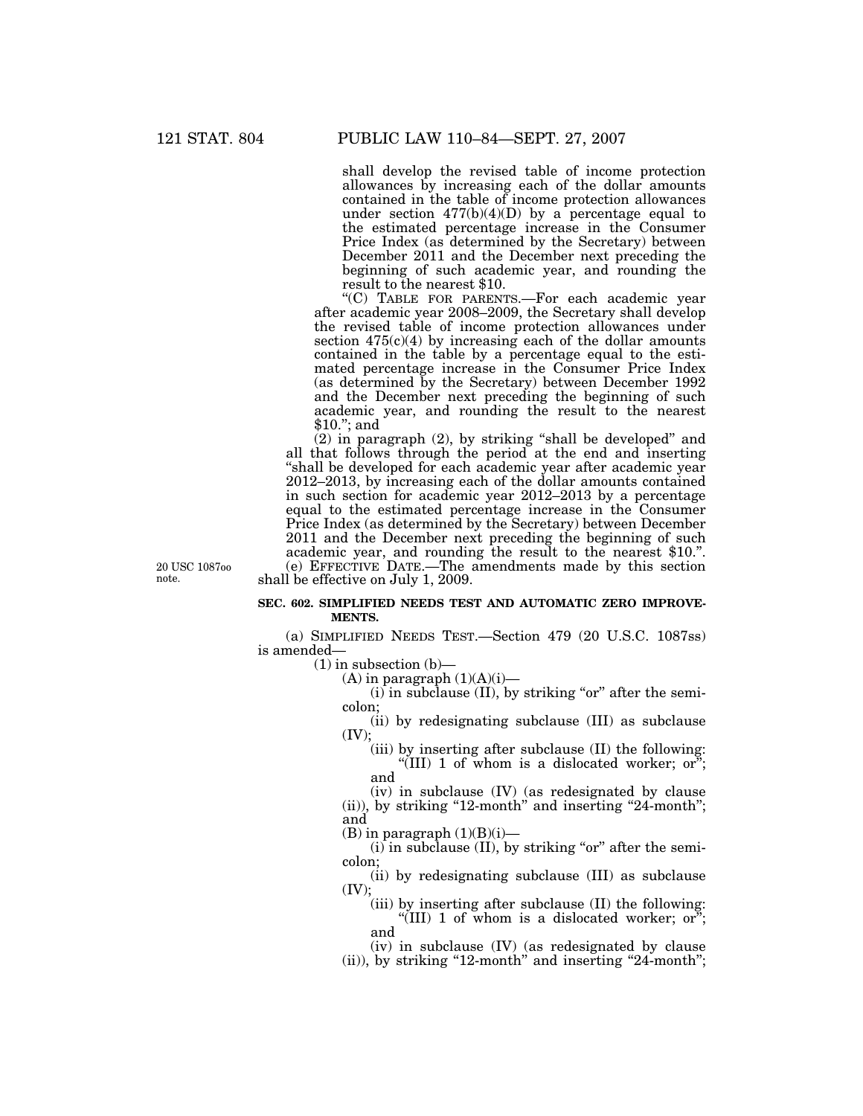shall develop the revised table of income protection allowances by increasing each of the dollar amounts contained in the table of income protection allowances under section  $477(b)(4)(D)$  by a percentage equal to the estimated percentage increase in the Consumer Price Index (as determined by the Secretary) between December 2011 and the December next preceding the beginning of such academic year, and rounding the result to the nearest \$10.

''(C) TABLE FOR PARENTS.—For each academic year after academic year 2008–2009, the Secretary shall develop the revised table of income protection allowances under section  $475(c)(4)$  by increasing each of the dollar amounts contained in the table by a percentage equal to the estimated percentage increase in the Consumer Price Index (as determined by the Secretary) between December 1992 and the December next preceding the beginning of such academic year, and rounding the result to the nearest \$10.''; and

(2) in paragraph (2), by striking ''shall be developed'' and all that follows through the period at the end and inserting ''shall be developed for each academic year after academic year 2012–2013, by increasing each of the dollar amounts contained in such section for academic year 2012–2013 by a percentage equal to the estimated percentage increase in the Consumer Price Index (as determined by the Secretary) between December 2011 and the December next preceding the beginning of such academic year, and rounding the result to the nearest \$10.''. (e) EFFECTIVE DATE.—The amendments made by this section shall be effective on July 1, 2009.

20 USC 1087oo note.

#### **SEC. 602. SIMPLIFIED NEEDS TEST AND AUTOMATIC ZERO IMPROVE-MENTS.**

(a) SIMPLIFIED NEEDS TEST.—Section 479 (20 U.S.C. 1087ss) is amended—

 $(1)$  in subsection  $(b)$ —

 $(A)$  in paragraph  $(1)(A)(i)$ —

 $(i)$  in subclause (II), by striking "or" after the semicolon;

(ii) by redesignating subclause (III) as subclause  $(IV):$ 

(iii) by inserting after subclause (II) the following: "(III) 1 of whom is a dislocated worker; or"; and

(iv) in subclause (IV) (as redesignated by clause  $(iii)$ , by striking "12-month" and inserting "24-month"; and

 $(B)$  in paragraph  $(1)(B)(i)$ —

 $(i)$  in subclause  $(II)$ , by striking "or" after the semicolon;

(ii) by redesignating subclause (III) as subclause (IV);

(iii) by inserting after subclause (II) the following: "(III) 1 of whom is a dislocated worker; or"; and

(iv) in subclause (IV) (as redesignated by clause (ii)), by striking "12-month" and inserting "24-month";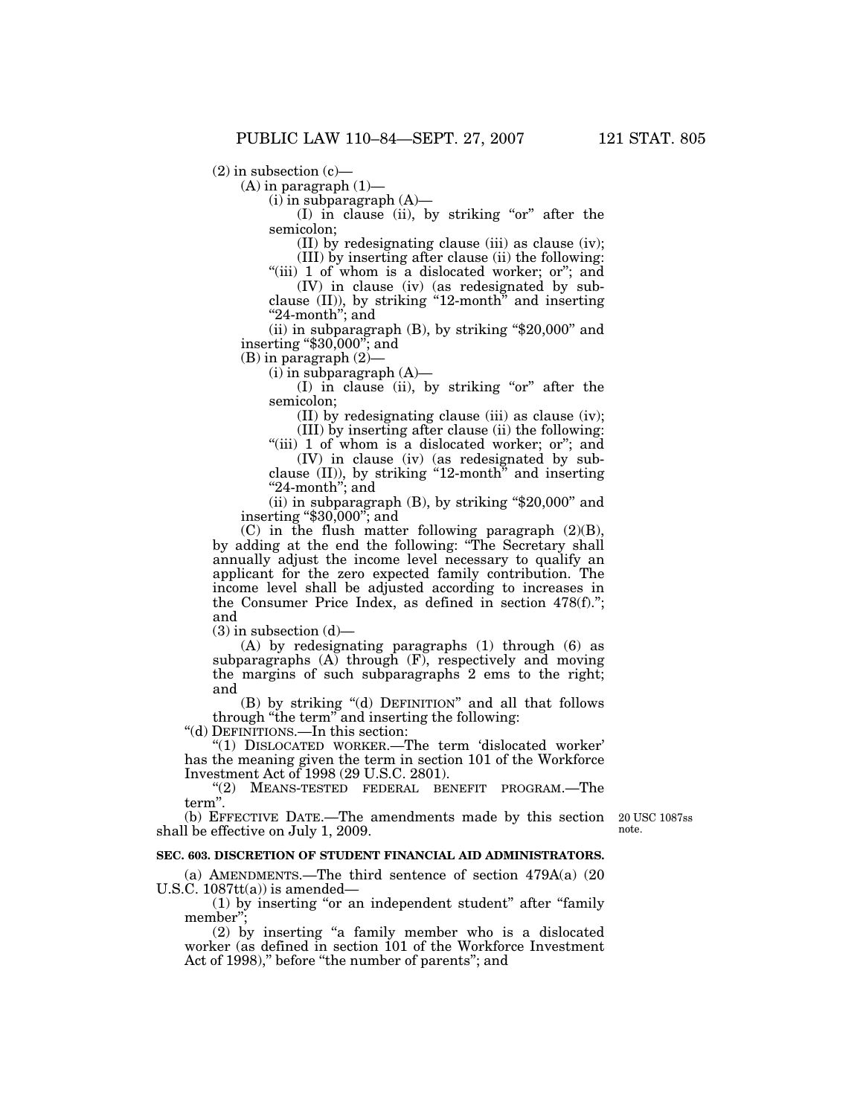$(2)$  in subsection  $(c)$ —

 $(A)$  in paragraph  $(1)$ —

 $(i)$  in subparagraph  $(A)$ —

 $(I)$  in clause (ii), by striking "or" after the semicolon;

(II) by redesignating clause (iii) as clause (iv);

(III) by inserting after clause (ii) the following:

"(iii) 1 of whom is a dislocated worker; or"; and (IV) in clause (iv) (as redesignated by sub-

clause  $(II)$ ), by striking "12-month" and inserting "24-month"; and

(ii) in subparagraph  $(B)$ , by striking "\$20,000" and inserting ''\$30,000''; and

(B) in paragraph (2)—

 $(i)$  in subparagraph  $(A)$ —

(I) in clause (ii), by striking "or" after the semicolon;

(II) by redesignating clause (iii) as clause (iv); (III) by inserting after clause (ii) the following:

"(iii) 1 of whom is a dislocated worker; or"; and (IV) in clause (iv) (as redesignated by sub-

clause (II)), by striking ''12-month'' and inserting "24-month"; and

(ii) in subparagraph  $(B)$ , by striking "\$20,000" and inserting ''\$30,000''; and

(C) in the flush matter following paragraph (2)(B), by adding at the end the following: ''The Secretary shall annually adjust the income level necessary to qualify an applicant for the zero expected family contribution. The income level shall be adjusted according to increases in the Consumer Price Index, as defined in section 478(f).''; and

 $(3)$  in subsection  $(d)$ —

(A) by redesignating paragraphs (1) through (6) as subparagraphs  $(A)$  through  $(F)$ , respectively and moving the margins of such subparagraphs 2 ems to the right; and

(B) by striking ''(d) DEFINITION'' and all that follows through ''the term'' and inserting the following:

''(d) DEFINITIONS.—In this section:

''(1) DISLOCATED WORKER.—The term 'dislocated worker' has the meaning given the term in section 101 of the Workforce Investment Act of 1998 (29 U.S.C. 2801).

''(2) MEANS-TESTED FEDERAL BENEFIT PROGRAM.—The term''.

(b) EFFECTIVE DATE.—The amendments made by this section shall be effective on July 1, 2009.

20 USC 1087ss note.

#### **SEC. 603. DISCRETION OF STUDENT FINANCIAL AID ADMINISTRATORS.**

(a) AMENDMENTS.—The third sentence of section 479A(a) (20 U.S.C.  $1087tt(a)$  is amended-

 $(1)$  by inserting "or an independent student" after "family member'';

(2) by inserting ''a family member who is a dislocated worker (as defined in section 101 of the Workforce Investment Act of 1998)," before "the number of parents"; and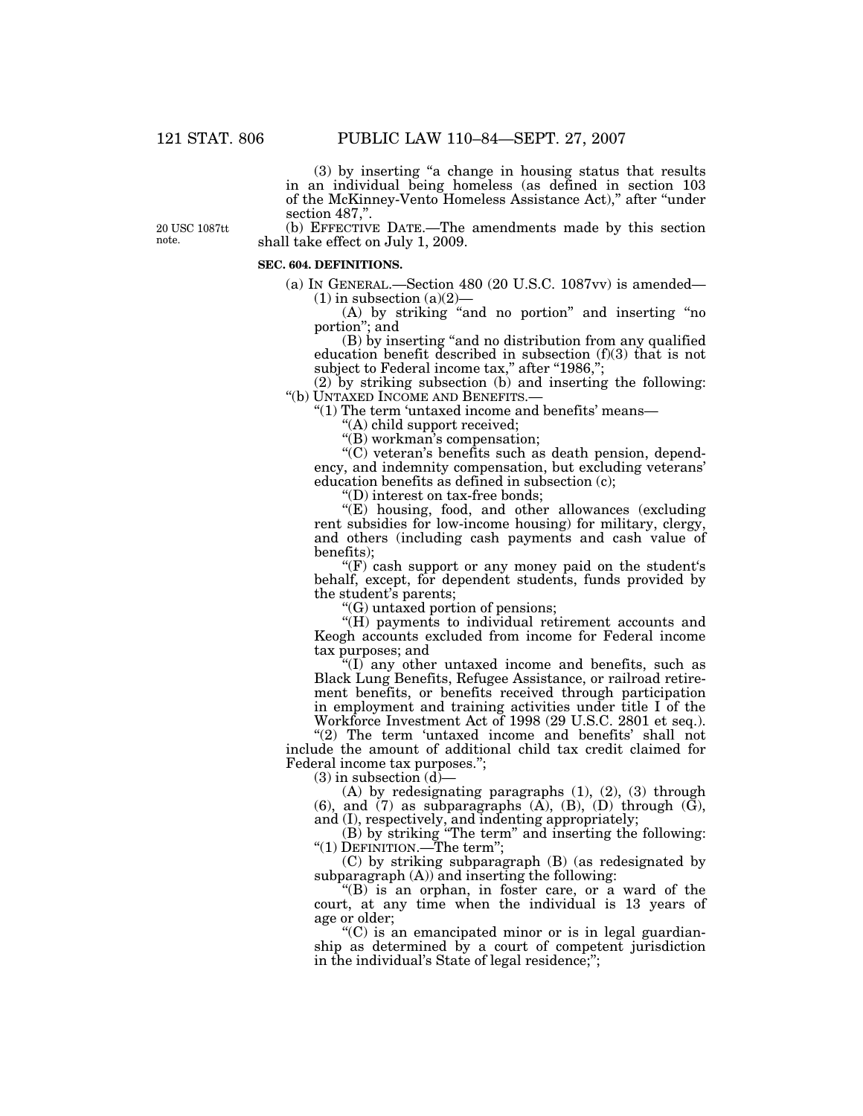(3) by inserting ''a change in housing status that results in an individual being homeless (as defined in section 103 of the McKinney-Vento Homeless Assistance Act),'' after ''under section 487,".

20 USC 1087tt note.

(b) EFFECTIVE DATE.—The amendments made by this section shall take effect on July 1, 2009.

#### **SEC. 604. DEFINITIONS.**

(a) IN GENERAL.—Section 480 (20 U.S.C. 1087vv) is amended—  $(1)$  in subsection  $(a)(2)$ 

(A) by striking ''and no portion'' and inserting ''no portion''; and

(B) by inserting ''and no distribution from any qualified education benefit described in subsection (f)(3) that is not subject to Federal income tax," after "1986,";

(2) by striking subsection (b) and inserting the following: ''(b) UNTAXED INCOME AND BENEFITS.—

''(1) The term 'untaxed income and benefits' means—

''(A) child support received;

''(B) workman's compensation;

 $C'$ ) veteran's benefits such as death pension, dependency, and indemnity compensation, but excluding veterans' education benefits as defined in subsection (c);

''(D) interest on tax-free bonds;

"(E) housing, food, and other allowances (excluding rent subsidies for low-income housing) for military, clergy, and others (including cash payments and cash value of benefits);

 $f(F)$  cash support or any money paid on the student's behalf, except, for dependent students, funds provided by the student's parents;

''(G) untaxed portion of pensions;

"(H) payments to individual retirement accounts and Keogh accounts excluded from income for Federal income tax purposes; and

''(I) any other untaxed income and benefits, such as Black Lung Benefits, Refugee Assistance, or railroad retirement benefits, or benefits received through participation in employment and training activities under title I of the Workforce Investment Act of 1998 (29 U.S.C. 2801 et seq.).

"(2) The term 'untaxed income and benefits' shall not include the amount of additional child tax credit claimed for Federal income tax purposes.'';

 $(3)$  in subsection  $(d)$ –

(A) by redesignating paragraphs (1), (2), (3) through (6), and  $(7)$  as subparagraphs  $(A)$ ,  $(B)$ ,  $(D)$  through  $(\tilde{G})$ , and (I), respectively, and indenting appropriately;

(B) by striking ''The term'' and inserting the following: ''(1) DEFINITION.—The term'';

(C) by striking subparagraph (B) (as redesignated by subparagraph  $(A)$  and inserting the following:

" $(B)$  is an orphan, in foster care, or a ward of the court, at any time when the individual is 13 years of age or older;

''(C) is an emancipated minor or is in legal guardianship as determined by a court of competent jurisdiction in the individual's State of legal residence;'';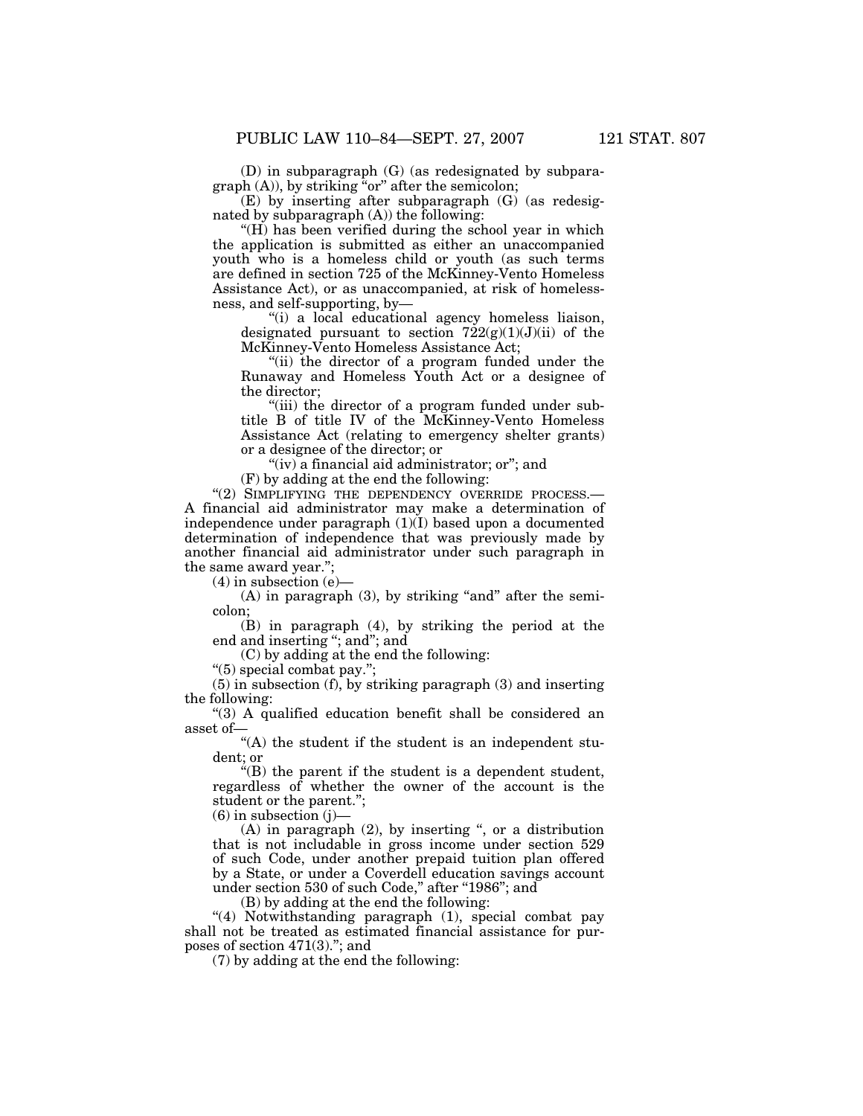(D) in subparagraph (G) (as redesignated by subpara $graph (A)$ , by striking "or" after the semicolon;

(E) by inserting after subparagraph (G) (as redesignated by subparagraph  $(A)$ ) the following:

 $H(H)$  has been verified during the school year in which the application is submitted as either an unaccompanied youth who is a homeless child or youth (as such terms are defined in section 725 of the McKinney-Vento Homeless Assistance Act), or as unaccompanied, at risk of homelessness, and self-supporting, by—

''(i) a local educational agency homeless liaison, designated pursuant to section  $722(g)(1)(J)(ii)$  of the McKinney-Vento Homeless Assistance Act;

"(ii) the director of a program funded under the Runaway and Homeless Youth Act or a designee of the director;

"(iii) the director of a program funded under subtitle B of title IV of the McKinney-Vento Homeless Assistance Act (relating to emergency shelter grants) or a designee of the director; or

"(iv) a financial aid administrator; or"; and

(F) by adding at the end the following:

"(2) SIMPLIFYING THE DEPENDENCY OVERRIDE PROCESS.-A financial aid administrator may make a determination of independence under paragraph (1)(I) based upon a documented determination of independence that was previously made by another financial aid administrator under such paragraph in the same award year.'';

 $(4)$  in subsection  $(e)$ —

 $(A)$  in paragraph  $(3)$ , by striking "and" after the semicolon;

(B) in paragraph (4), by striking the period at the end and inserting ''; and''; and

(C) by adding at the end the following:

''(5) special combat pay.'';

(5) in subsection (f), by striking paragraph (3) and inserting the following:

''(3) A qualified education benefit shall be considered an asset of—

 $\sqrt{\ }$ <sup>"</sup>(A) the student if the student is an independent student; or

''(B) the parent if the student is a dependent student, regardless of whether the owner of the account is the student or the parent.'';

 $(6)$  in subsection  $(i)$ —

 $(A)$  in paragraph  $(2)$ , by inserting ", or a distribution that is not includable in gross income under section 529 of such Code, under another prepaid tuition plan offered by a State, or under a Coverdell education savings account under section 530 of such Code," after "1986"; and

(B) by adding at the end the following:

"(4) Notwithstanding paragraph (1), special combat pay shall not be treated as estimated financial assistance for purposes of section 471(3).''; and

(7) by adding at the end the following: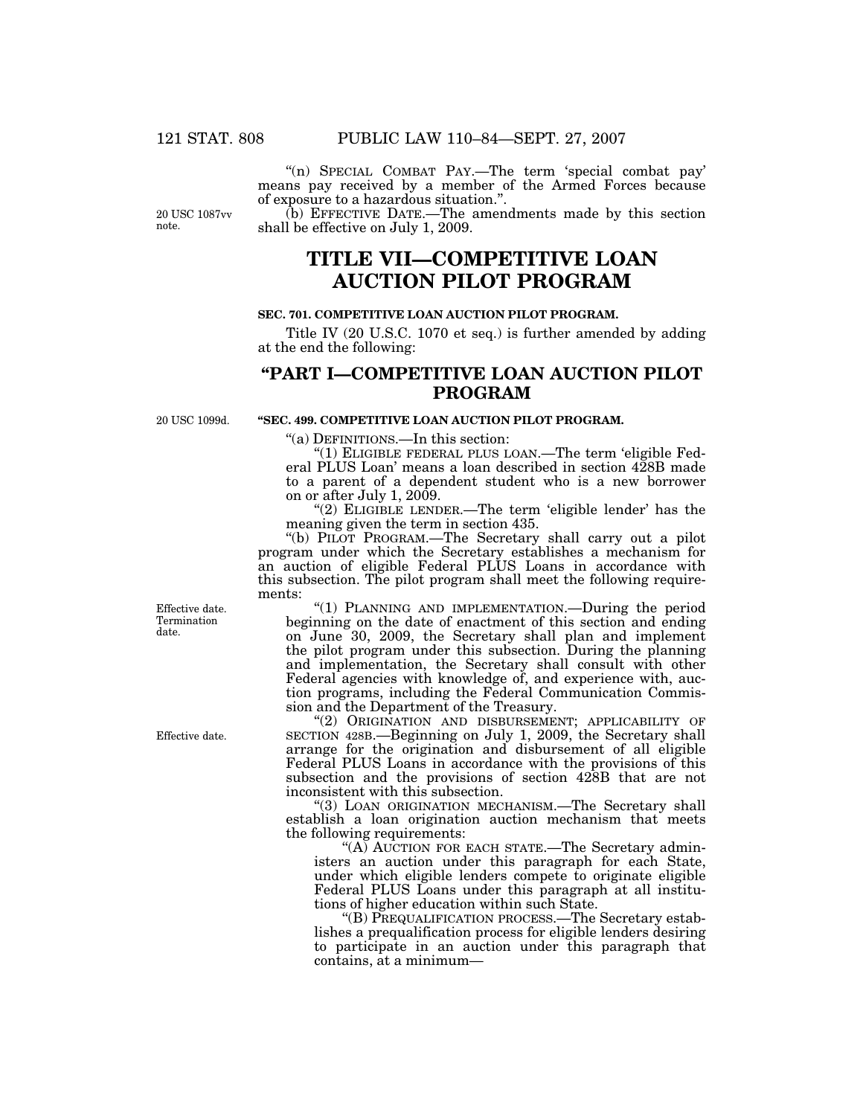''(n) SPECIAL COMBAT PAY.—The term 'special combat pay' means pay received by a member of the Armed Forces because of exposure to a hazardous situation."

20 USC 1087vv note.

(b) EFFECTIVE DATE.—The amendments made by this section shall be effective on July 1, 2009.

# **TITLE VII—COMPETITIVE LOAN AUCTION PILOT PROGRAM**

#### **SEC. 701. COMPETITIVE LOAN AUCTION PILOT PROGRAM.**

Title IV (20 U.S.C. 1070 et seq.) is further amended by adding at the end the following:

# **''PART I—COMPETITIVE LOAN AUCTION PILOT PROGRAM**

20 USC 1099d.

## **''SEC. 499. COMPETITIVE LOAN AUCTION PILOT PROGRAM.**

''(a) DEFINITIONS.—In this section:

''(1) ELIGIBLE FEDERAL PLUS LOAN.—The term 'eligible Federal PLUS Loan' means a loan described in section 428B made to a parent of a dependent student who is a new borrower on or after July 1, 2009.

"(2) ELIGIBLE LENDER.—The term 'eligible lender' has the meaning given the term in section 435.

''(b) PILOT PROGRAM.—The Secretary shall carry out a pilot program under which the Secretary establishes a mechanism for an auction of eligible Federal PLUS Loans in accordance with this subsection. The pilot program shall meet the following requirements:

"(1) PLANNING AND IMPLEMENTATION.-During the period beginning on the date of enactment of this section and ending on June 30, 2009, the Secretary shall plan and implement the pilot program under this subsection. During the planning and implementation, the Secretary shall consult with other Federal agencies with knowledge of, and experience with, auction programs, including the Federal Communication Commission and the Department of the Treasury.

''(2) ORIGINATION AND DISBURSEMENT; APPLICABILITY OF SECTION 428B.—Beginning on July 1, 2009, the Secretary shall arrange for the origination and disbursement of all eligible Federal PLUS Loans in accordance with the provisions of this subsection and the provisions of section 428B that are not inconsistent with this subsection.

"(3) LOAN ORIGINATION MECHANISM.—The Secretary shall establish a loan origination auction mechanism that meets the following requirements:

"(A) AUCTION FOR EACH STATE.—The Secretary administers an auction under this paragraph for each State, under which eligible lenders compete to originate eligible Federal PLUS Loans under this paragraph at all institutions of higher education within such State.

''(B) PREQUALIFICATION PROCESS.—The Secretary establishes a prequalification process for eligible lenders desiring to participate in an auction under this paragraph that contains, at a minimum—

Effective date. Termination date.

Effective date.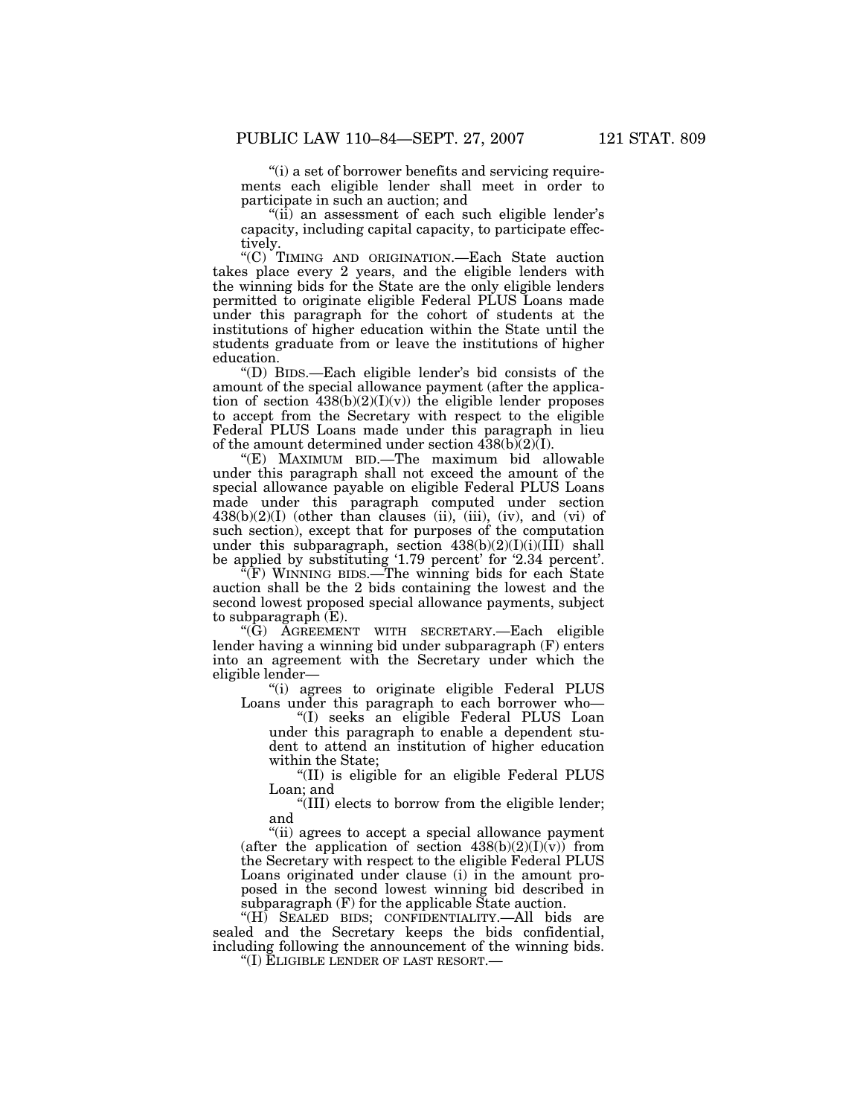''(i) a set of borrower benefits and servicing requirements each eligible lender shall meet in order to participate in such an auction; and

"(ii) an assessment of each such eligible lender's capacity, including capital capacity, to participate effectively.

''(C) TIMING AND ORIGINATION.—Each State auction takes place every 2 years, and the eligible lenders with the winning bids for the State are the only eligible lenders permitted to originate eligible Federal PLUS Loans made under this paragraph for the cohort of students at the institutions of higher education within the State until the students graduate from or leave the institutions of higher education.

''(D) BIDS.—Each eligible lender's bid consists of the amount of the special allowance payment (after the application of section  $\frac{438(b)(2)(I)(v)}{I}$  the eligible lender proposes to accept from the Secretary with respect to the eligible Federal PLUS Loans made under this paragraph in lieu of the amount determined under section  $4\overline{38(b)}(2)\overline{(1)}$ .

''(E) MAXIMUM BID.—The maximum bid allowable under this paragraph shall not exceed the amount of the special allowance payable on eligible Federal PLUS Loans made under this paragraph computed under section  $438(b)(2)(I)$  (other than clauses (ii), (iii), (iv), and (vi) of such section), except that for purposes of the computation under this subparagraph, section  $438(b)(2)(I)(I)(I\overline{I}I)$  shall be applied by substituting '1.79 percent' for '2.34 percent'.

''(F) WINNING BIDS.—The winning bids for each State auction shall be the 2 bids containing the lowest and the second lowest proposed special allowance payments, subject to subparagraph (E).

''(G) AGREEMENT WITH SECRETARY.—Each eligible lender having a winning bid under subparagraph (F) enters into an agreement with the Secretary under which the eligible lender—

''(i) agrees to originate eligible Federal PLUS Loans under this paragraph to each borrower who—

''(I) seeks an eligible Federal PLUS Loan under this paragraph to enable a dependent student to attend an institution of higher education within the State;

''(II) is eligible for an eligible Federal PLUS Loan; and

''(III) elects to borrow from the eligible lender; and

''(ii) agrees to accept a special allowance payment (after the application of section  $438(b)(2)(I)(v)$ ) from the Secretary with respect to the eligible Federal PLUS Loans originated under clause (i) in the amount proposed in the second lowest winning bid described in subparagraph (F) for the applicable State auction.

"(H) SEALED BIDS; CONFIDENTIALITY.—All bids are sealed and the Secretary keeps the bids confidential, including following the announcement of the winning bids.

''(I) ELIGIBLE LENDER OF LAST RESORT.—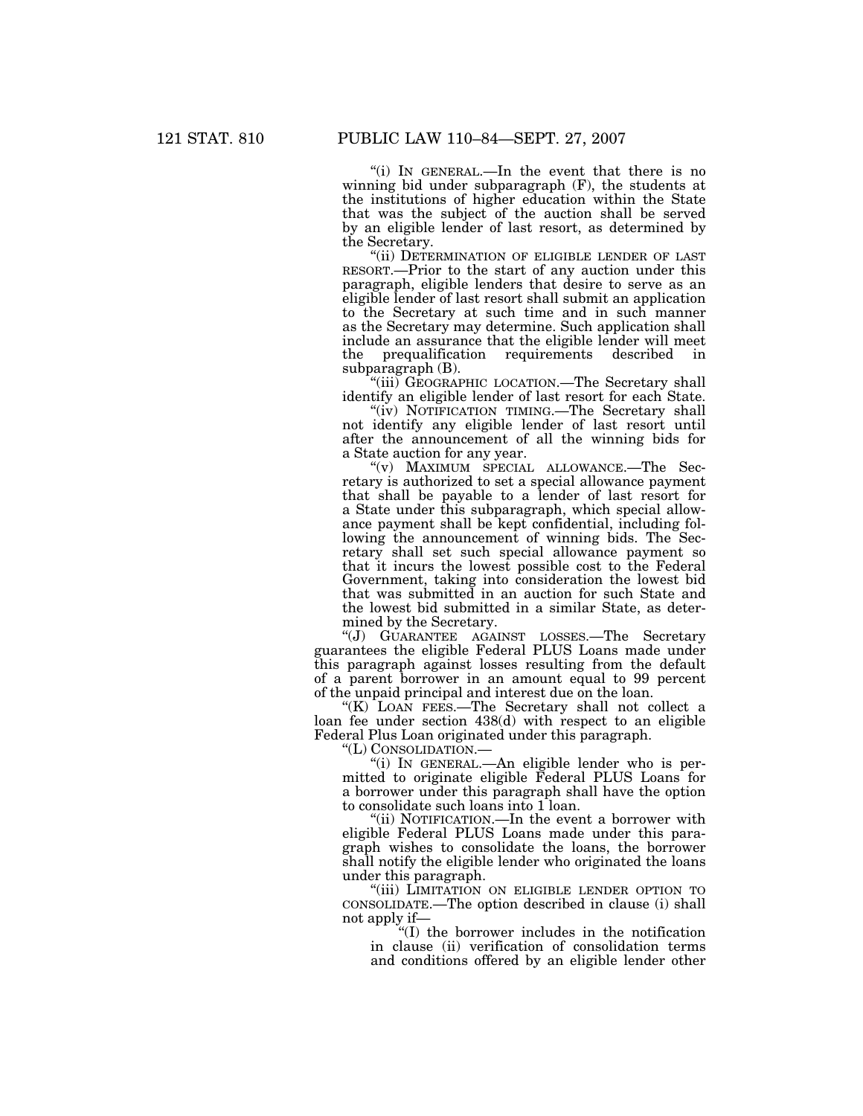''(i) IN GENERAL.—In the event that there is no winning bid under subparagraph (F), the students at the institutions of higher education within the State that was the subject of the auction shall be served by an eligible lender of last resort, as determined by the Secretary.

"(ii) DETERMINATION OF ELIGIBLE LENDER OF LAST RESORT.—Prior to the start of any auction under this paragraph, eligible lenders that desire to serve as an eligible lender of last resort shall submit an application to the Secretary at such time and in such manner as the Secretary may determine. Such application shall include an assurance that the eligible lender will meet the prequalification requirements described in subparagraph (B).

"(iii) GEOGRAPHIC LOCATION.—The Secretary shall identify an eligible lender of last resort for each State.

"(iv) NOTIFICATION TIMING.—The Secretary shall not identify any eligible lender of last resort until after the announcement of all the winning bids for a State auction for any year.

''(v) MAXIMUM SPECIAL ALLOWANCE.—The Secretary is authorized to set a special allowance payment that shall be payable to a lender of last resort for a State under this subparagraph, which special allowance payment shall be kept confidential, including following the announcement of winning bids. The Secretary shall set such special allowance payment so that it incurs the lowest possible cost to the Federal Government, taking into consideration the lowest bid that was submitted in an auction for such State and the lowest bid submitted in a similar State, as determined by the Secretary.

''(J) GUARANTEE AGAINST LOSSES.—The Secretary guarantees the eligible Federal PLUS Loans made under this paragraph against losses resulting from the default of a parent borrower in an amount equal to 99 percent of the unpaid principal and interest due on the loan.

''(K) LOAN FEES.—The Secretary shall not collect a loan fee under section 438(d) with respect to an eligible Federal Plus Loan originated under this paragraph.

''(L) CONSOLIDATION.—

''(i) IN GENERAL.—An eligible lender who is permitted to originate eligible Federal PLUS Loans for a borrower under this paragraph shall have the option to consolidate such loans into 1 loan.

''(ii) NOTIFICATION.—In the event a borrower with eligible Federal PLUS Loans made under this paragraph wishes to consolidate the loans, the borrower shall notify the eligible lender who originated the loans under this paragraph.

"(iii) LIMITATION ON ELIGIBLE LENDER OPTION TO CONSOLIDATE.—The option described in clause (i) shall not apply if—

''(I) the borrower includes in the notification in clause (ii) verification of consolidation terms and conditions offered by an eligible lender other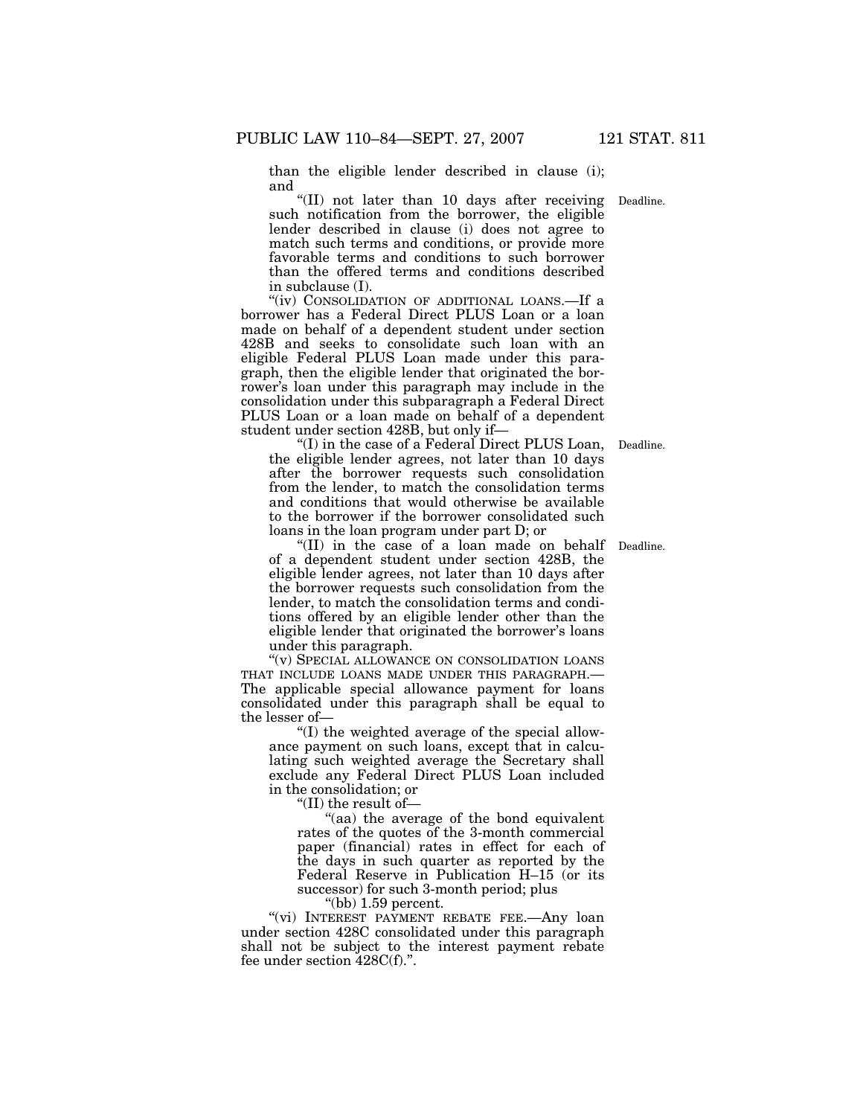than the eligible lender described in clause (i); and

"(II) not later than 10 days after receiving Deadline. such notification from the borrower, the eligible lender described in clause (i) does not agree to match such terms and conditions, or provide more favorable terms and conditions to such borrower than the offered terms and conditions described in subclause (I).

"(iv) CONSOLIDATION OF ADDITIONAL LOANS.—If a borrower has a Federal Direct PLUS Loan or a loan made on behalf of a dependent student under section 428B and seeks to consolidate such loan with an eligible Federal PLUS Loan made under this paragraph, then the eligible lender that originated the borrower's loan under this paragraph may include in the consolidation under this subparagraph a Federal Direct PLUS Loan or a loan made on behalf of a dependent student under section 428B, but only if—

''(I) in the case of a Federal Direct PLUS Loan, the eligible lender agrees, not later than 10 days after the borrower requests such consolidation from the lender, to match the consolidation terms and conditions that would otherwise be available to the borrower if the borrower consolidated such loans in the loan program under part D; or

"(II) in the case of a loan made on behalf Deadline. of a dependent student under section 428B, the eligible lender agrees, not later than 10 days after the borrower requests such consolidation from the lender, to match the consolidation terms and conditions offered by an eligible lender other than the eligible lender that originated the borrower's loans under this paragraph.

''(v) SPECIAL ALLOWANCE ON CONSOLIDATION LOANS THAT INCLUDE LOANS MADE UNDER THIS PARAGRAPH.— The applicable special allowance payment for loans consolidated under this paragraph shall be equal to the lesser of—

''(I) the weighted average of the special allowance payment on such loans, except that in calculating such weighted average the Secretary shall exclude any Federal Direct PLUS Loan included in the consolidation; or

''(II) the result of—

''(aa) the average of the bond equivalent rates of the quotes of the 3-month commercial paper (financial) rates in effect for each of the days in such quarter as reported by the Federal Reserve in Publication H–15 (or its successor) for such 3-month period; plus

''(bb) 1.59 percent.

"(vi) INTEREST PAYMENT REBATE FEE.—Any loan under section 428C consolidated under this paragraph shall not be subject to the interest payment rebate fee under section 428C(f).''.

Deadline.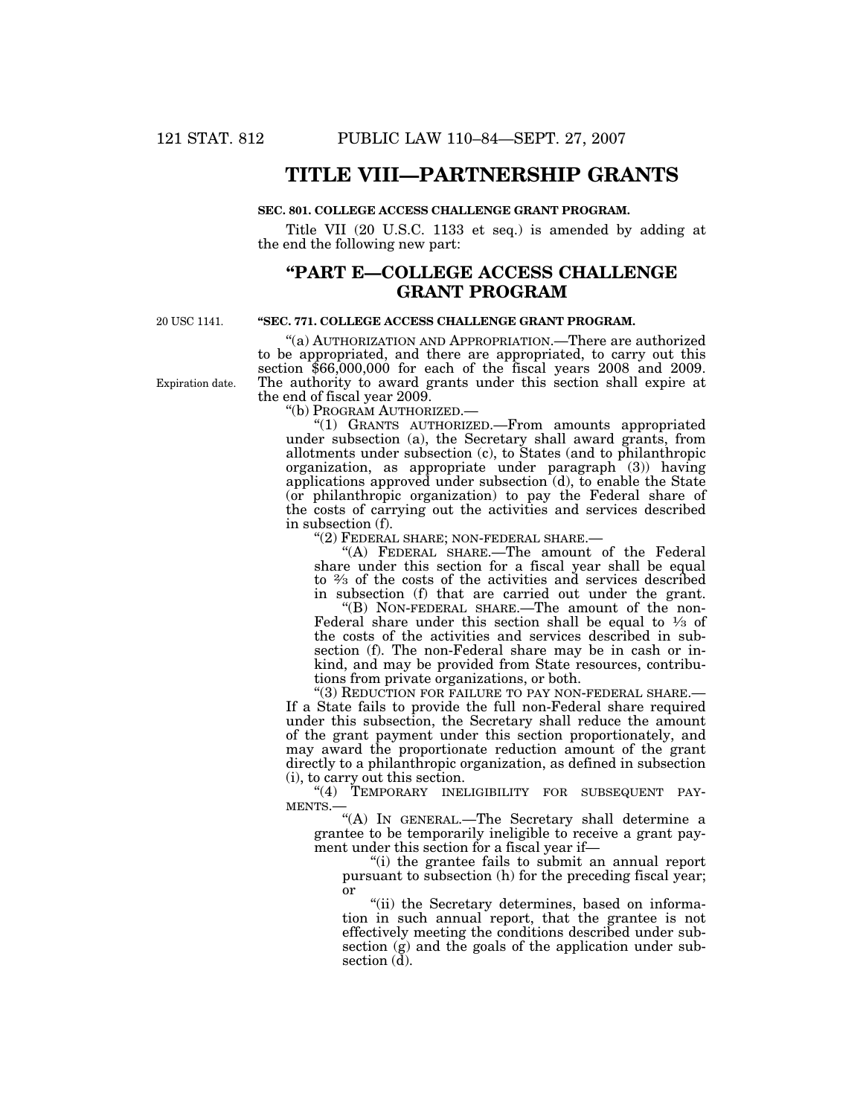# **TITLE VIII—PARTNERSHIP GRANTS**

#### **SEC. 801. COLLEGE ACCESS CHALLENGE GRANT PROGRAM.**

Title VII (20 U.S.C. 1133 et seq.) is amended by adding at the end the following new part:

# **''PART E—COLLEGE ACCESS CHALLENGE GRANT PROGRAM**

20 USC 1141.

### **''SEC. 771. COLLEGE ACCESS CHALLENGE GRANT PROGRAM.**

''(a) AUTHORIZATION AND APPROPRIATION.—There are authorized to be appropriated, and there are appropriated, to carry out this section \$66,000,000 for each of the fiscal years 2008 and 2009. The authority to award grants under this section shall expire at the end of fiscal year 2009.

''(b) PROGRAM AUTHORIZED.—

''(1) GRANTS AUTHORIZED.—From amounts appropriated under subsection (a), the Secretary shall award grants, from allotments under subsection (c), to States (and to philanthropic organization, as appropriate under paragraph (3)) having applications approved under subsection (d), to enable the State (or philanthropic organization) to pay the Federal share of the costs of carrying out the activities and services described in subsection (f).

''(2) FEDERAL SHARE; NON-FEDERAL SHARE.—

''(A) FEDERAL SHARE.—The amount of the Federal share under this section for a fiscal year shall be equal to 2⁄3 of the costs of the activities and services described in subsection (f) that are carried out under the grant.

''(B) NON-FEDERAL SHARE.—The amount of the non-Federal share under this section shall be equal to  $\frac{1}{3}$  of the costs of the activities and services described in subsection (f). The non-Federal share may be in cash or inkind, and may be provided from State resources, contributions from private organizations, or both.

''(3) REDUCTION FOR FAILURE TO PAY NON-FEDERAL SHARE.— If a State fails to provide the full non-Federal share required under this subsection, the Secretary shall reduce the amount of the grant payment under this section proportionately, and may award the proportionate reduction amount of the grant directly to a philanthropic organization, as defined in subsection (i), to carry out this section.

"(4) TEMPORARY INELIGIBILITY FOR SUBSEQUENT PAY-MENTS.—

''(A) IN GENERAL.—The Secretary shall determine a grantee to be temporarily ineligible to receive a grant payment under this section for a fiscal year if—

''(i) the grantee fails to submit an annual report pursuant to subsection (h) for the preceding fiscal year; or

"(ii) the Secretary determines, based on information in such annual report, that the grantee is not effectively meeting the conditions described under subsection (g) and the goals of the application under subsection  $(\overline{d})$ .

Expiration date.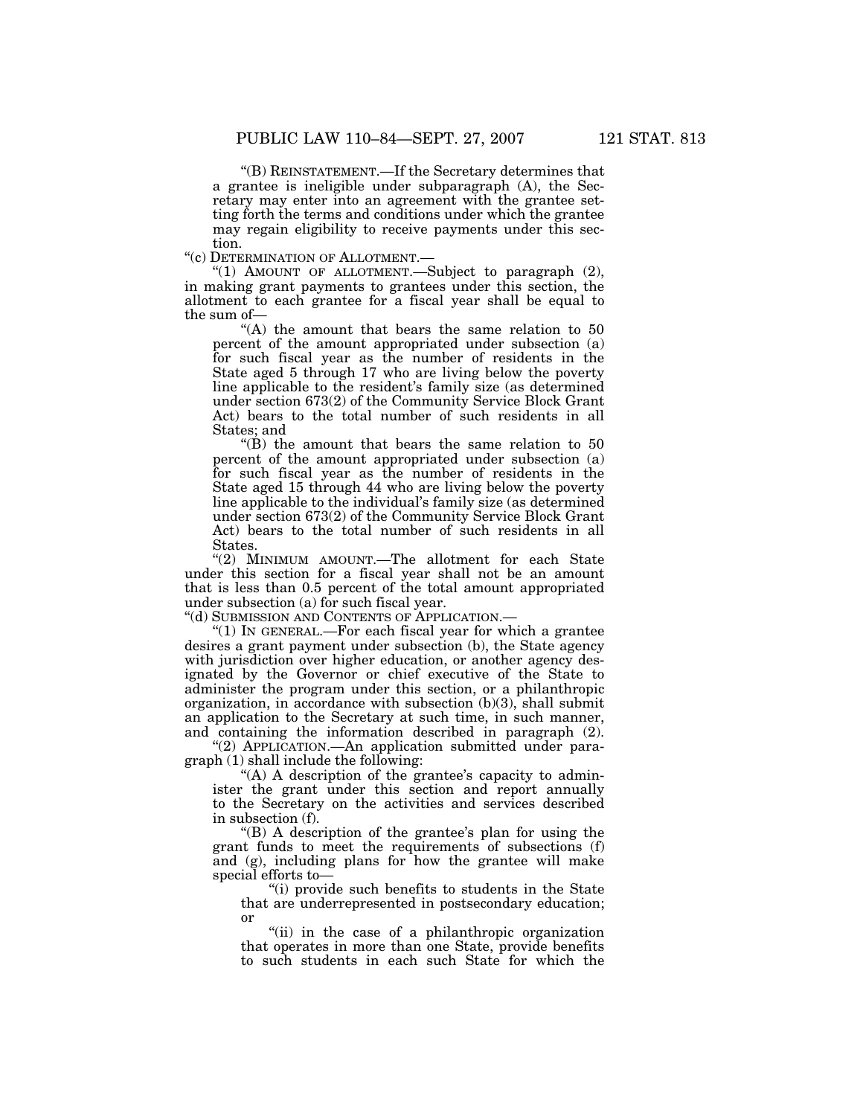''(B) REINSTATEMENT.—If the Secretary determines that a grantee is ineligible under subparagraph (A), the Secretary may enter into an agreement with the grantee setting forth the terms and conditions under which the grantee may regain eligibility to receive payments under this section.

''(c) DETERMINATION OF ALLOTMENT.—

"(1) AMOUNT OF ALLOTMENT. Subject to paragraph (2), in making grant payments to grantees under this section, the allotment to each grantee for a fiscal year shall be equal to the sum of—

"(A) the amount that bears the same relation to 50 percent of the amount appropriated under subsection (a) for such fiscal year as the number of residents in the State aged 5 through 17 who are living below the poverty line applicable to the resident's family size (as determined under section 673(2) of the Community Service Block Grant Act) bears to the total number of such residents in all States; and

" $(B)$  the amount that bears the same relation to 50 percent of the amount appropriated under subsection (a) for such fiscal year as the number of residents in the State aged 15 through 44 who are living below the poverty line applicable to the individual's family size (as determined under section 673(2) of the Community Service Block Grant Act) bears to the total number of such residents in all States.

''(2) MINIMUM AMOUNT.—The allotment for each State under this section for a fiscal year shall not be an amount that is less than 0.5 percent of the total amount appropriated under subsection (a) for such fiscal year.

''(d) SUBMISSION AND CONTENTS OF APPLICATION.—

" $(1)$  In GENERAL.—For each fiscal year for which a grantee desires a grant payment under subsection (b), the State agency with jurisdiction over higher education, or another agency designated by the Governor or chief executive of the State to administer the program under this section, or a philanthropic organization, in accordance with subsection  $(b)(3)$ , shall submit an application to the Secretary at such time, in such manner, and containing the information described in paragraph (2).

''(2) APPLICATION.—An application submitted under paragraph (1) shall include the following:

"(A) A description of the grantee's capacity to administer the grant under this section and report annually to the Secretary on the activities and services described in subsection (f).

''(B) A description of the grantee's plan for using the grant funds to meet the requirements of subsections (f) and (g), including plans for how the grantee will make special efforts to—

''(i) provide such benefits to students in the State that are underrepresented in postsecondary education; or

"(ii) in the case of a philanthropic organization that operates in more than one State, provide benefits to such students in each such State for which the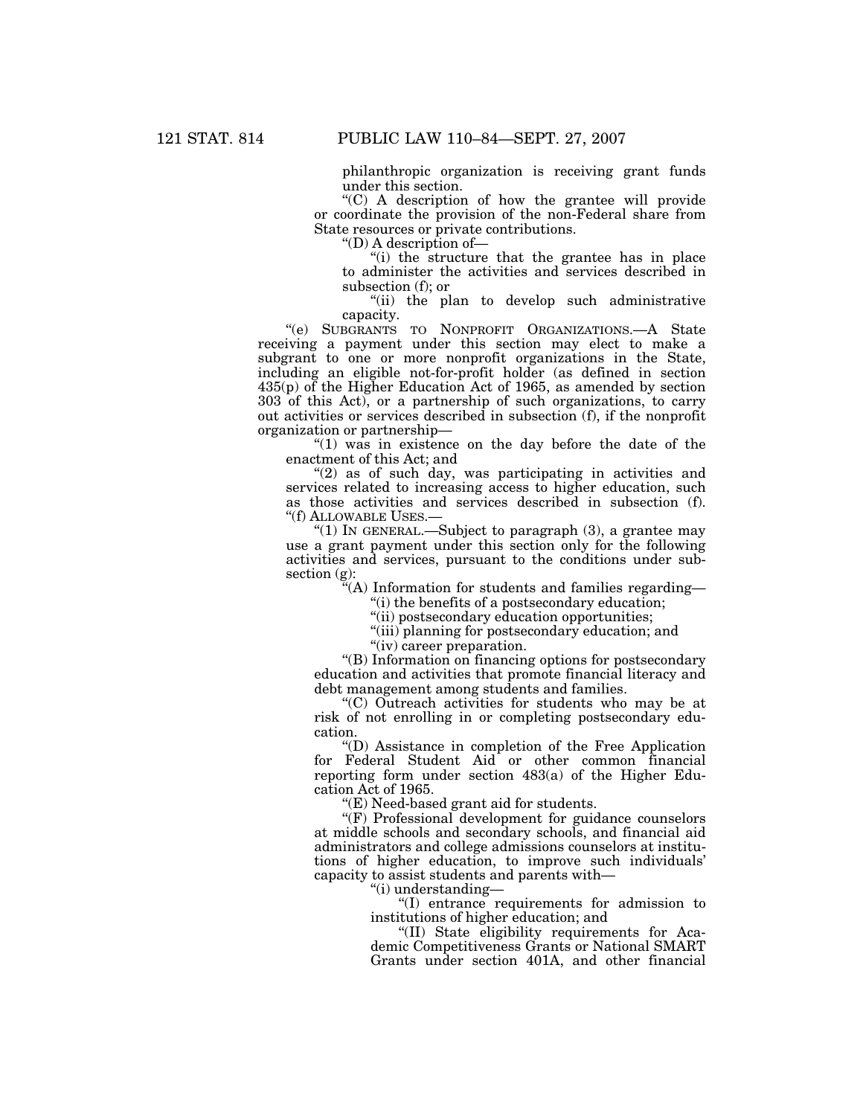philanthropic organization is receiving grant funds under this section.

''(C) A description of how the grantee will provide or coordinate the provision of the non-Federal share from State resources or private contributions.

''(D) A description of—

''(i) the structure that the grantee has in place to administer the activities and services described in subsection (f); or

''(ii) the plan to develop such administrative capacity.

''(e) SUBGRANTS TO NONPROFIT ORGANIZATIONS.—A State receiving a payment under this section may elect to make a subgrant to one or more nonprofit organizations in the State, including an eligible not-for-profit holder (as defined in section 435(p) of the Higher Education Act of 1965, as amended by section 303 of this Act), or a partnership of such organizations, to carry out activities or services described in subsection (f), if the nonprofit organization or partnership—

" $(1)$  was in existence on the day before the date of the enactment of this Act; and

 $''(2)$  as of such day, was participating in activities and services related to increasing access to higher education, such as those activities and services described in subsection (f). ''(f) ALLOWABLE USES.—

"(1) In GENERAL.—Subject to paragraph  $(3)$ , a grantee may use a grant payment under this section only for the following activities and services, pursuant to the conditions under subsection (g):

 $\hat{f}(A)$  Information for students and families regarding—

''(i) the benefits of a postsecondary education;

''(ii) postsecondary education opportunities;

''(iii) planning for postsecondary education; and

"(iv) career preparation.

''(B) Information on financing options for postsecondary education and activities that promote financial literacy and debt management among students and families.

''(C) Outreach activities for students who may be at risk of not enrolling in or completing postsecondary education.

''(D) Assistance in completion of the Free Application for Federal Student Aid or other common financial reporting form under section 483(a) of the Higher Education Act of 1965.

''(E) Need-based grant aid for students.

"(F) Professional development for guidance counselors at middle schools and secondary schools, and financial aid administrators and college admissions counselors at institutions of higher education, to improve such individuals' capacity to assist students and parents with—

''(i) understanding—

''(I) entrance requirements for admission to institutions of higher education; and

''(II) State eligibility requirements for Academic Competitiveness Grants or National SMART Grants under section 401A, and other financial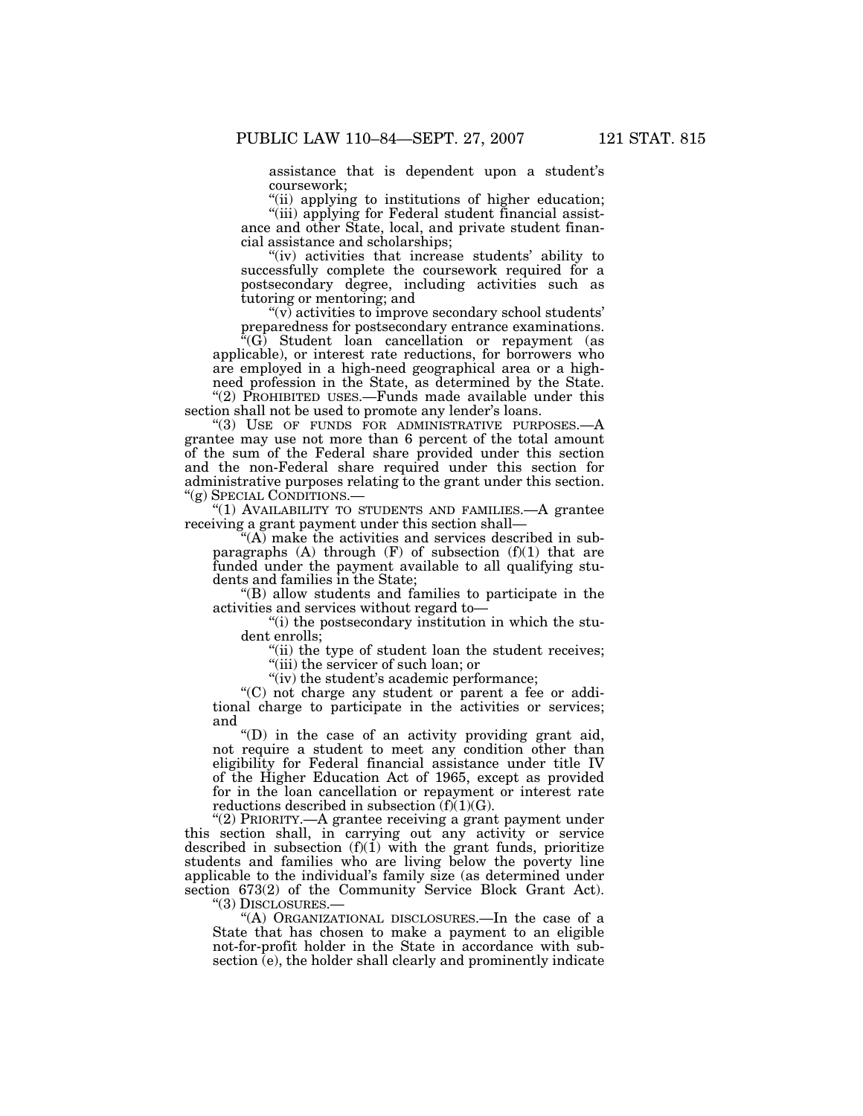assistance that is dependent upon a student's coursework;

"(ii) applying to institutions of higher education; ''(iii) applying for Federal student financial assistance and other State, local, and private student financial assistance and scholarships;

"(iv) activities that increase students' ability to successfully complete the coursework required for a postsecondary degree, including activities such as tutoring or mentoring; and

 $(v)$  activities to improve secondary school students' preparedness for postsecondary entrance examinations.

<sup>\*</sup>(G) Student loan cancellation or repayment (as applicable), or interest rate reductions, for borrowers who are employed in a high-need geographical area or a highneed profession in the State, as determined by the State. "(2) PROHIBITED USES.—Funds made available under this

section shall not be used to promote any lender's loans.

"(3) USE OF FUNDS FOR ADMINISTRATIVE PURPOSES.—A grantee may use not more than 6 percent of the total amount of the sum of the Federal share provided under this section and the non-Federal share required under this section for administrative purposes relating to the grant under this section. ''(g) SPECIAL CONDITIONS.—

"(1) AVAILABILITY TO STUDENTS AND FAMILIES.—A grantee receiving a grant payment under this section shall—

 $(A)$  make the activities and services described in subparagraphs  $(A)$  through  $(F)$  of subsection  $(f)(1)$  that are funded under the payment available to all qualifying students and families in the State;

''(B) allow students and families to participate in the activities and services without regard to—

''(i) the postsecondary institution in which the student enrolls;

"(ii) the type of student loan the student receives; ''(iii) the servicer of such loan; or

"(iv) the student's academic performance;

''(C) not charge any student or parent a fee or additional charge to participate in the activities or services; and

''(D) in the case of an activity providing grant aid, not require a student to meet any condition other than eligibility for Federal financial assistance under title IV of the Higher Education Act of 1965, except as provided for in the loan cancellation or repayment or interest rate reductions described in subsection  $(f)(1)(G)$ .

''(2) PRIORITY.—A grantee receiving a grant payment under this section shall, in carrying out any activity or service described in subsection  $(f)(1)$  with the grant funds, prioritize students and families who are living below the poverty line applicable to the individual's family size (as determined under section 673(2) of the Community Service Block Grant Act).

''(3) DISCLOSURES.—

''(A) ORGANIZATIONAL DISCLOSURES.—In the case of a State that has chosen to make a payment to an eligible not-for-profit holder in the State in accordance with subsection (e), the holder shall clearly and prominently indicate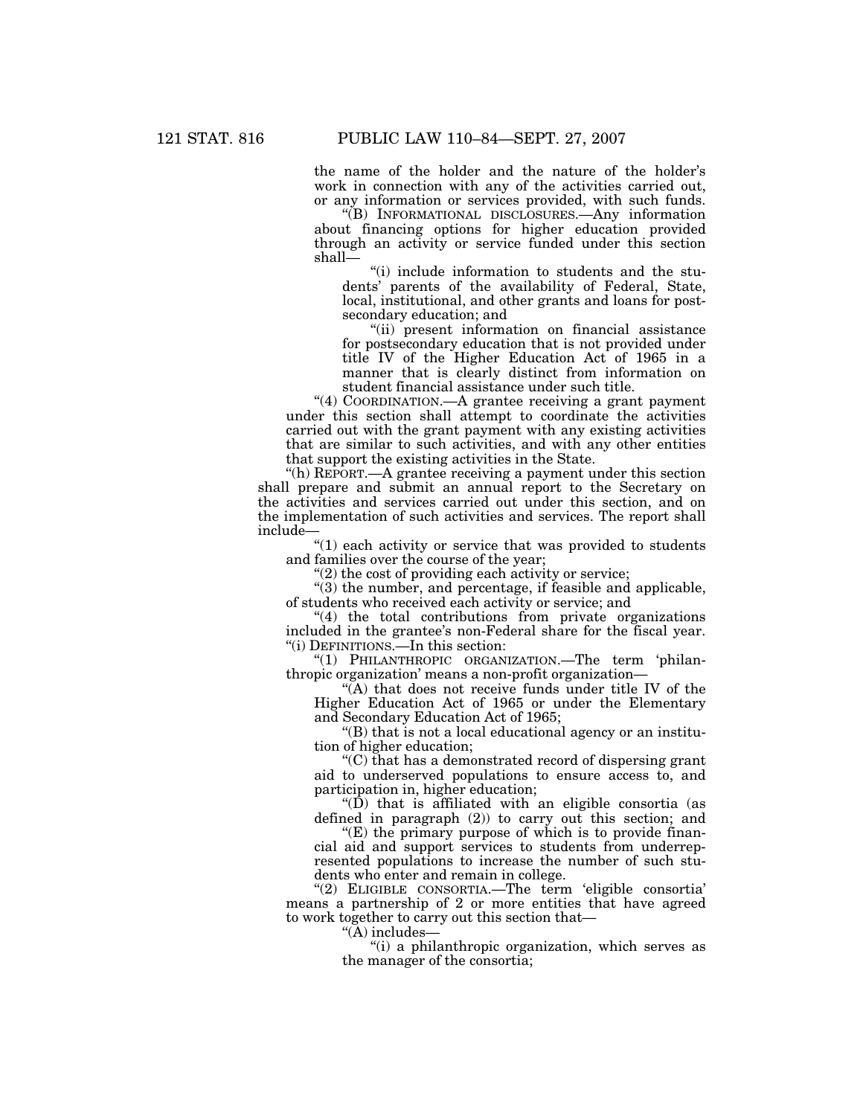the name of the holder and the nature of the holder's work in connection with any of the activities carried out, or any information or services provided, with such funds.

''(B) INFORMATIONAL DISCLOSURES.—Any information about financing options for higher education provided through an activity or service funded under this section shall—

''(i) include information to students and the students' parents of the availability of Federal, State, local, institutional, and other grants and loans for postsecondary education; and

"(ii) present information on financial assistance for postsecondary education that is not provided under title IV of the Higher Education Act of 1965 in a manner that is clearly distinct from information on student financial assistance under such title.

''(4) COORDINATION.—A grantee receiving a grant payment under this section shall attempt to coordinate the activities carried out with the grant payment with any existing activities that are similar to such activities, and with any other entities that support the existing activities in the State.

''(h) REPORT.—A grantee receiving a payment under this section shall prepare and submit an annual report to the Secretary on the activities and services carried out under this section, and on the implementation of such activities and services. The report shall include—

''(1) each activity or service that was provided to students and families over the course of the year;

 $''(2)$  the cost of providing each activity or service;

 $'(3)$  the number, and percentage, if feasible and applicable, of students who received each activity or service; and

"(4) the total contributions from private organizations included in the grantee's non-Federal share for the fiscal year. ''(i) DEFINITIONS.—In this section:

''(1) PHILANTHROPIC ORGANIZATION.—The term 'philanthropic organization' means a non-profit organization—

 $\sqrt{\hat{A}}$ ) that does not receive funds under title IV of the Higher Education Act of 1965 or under the Elementary and Secondary Education Act of 1965;

''(B) that is not a local educational agency or an institution of higher education;

''(C) that has a demonstrated record of dispersing grant aid to underserved populations to ensure access to, and participation in, higher education;

" $(D)$  that is affiliated with an eligible consortia (as defined in paragraph (2)) to carry out this section; and

''(E) the primary purpose of which is to provide financial aid and support services to students from underrepresented populations to increase the number of such students who enter and remain in college.

"(2) ELIGIBLE CONSORTIA.—The term 'eligible consortia' means a partnership of 2 or more entities that have agreed to work together to carry out this section that—

 $\H$ (A) includes—

''(i) a philanthropic organization, which serves as the manager of the consortia;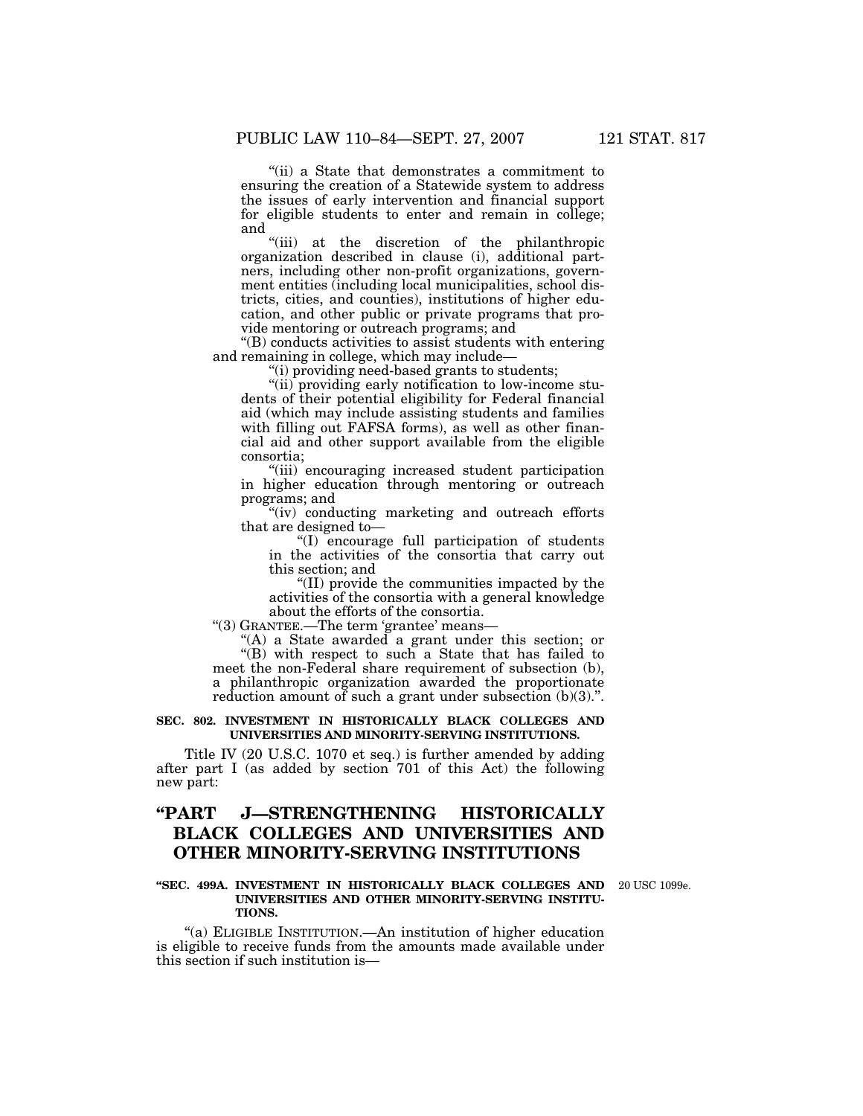''(ii) a State that demonstrates a commitment to ensuring the creation of a Statewide system to address the issues of early intervention and financial support for eligible students to enter and remain in college; and

''(iii) at the discretion of the philanthropic organization described in clause (i), additional partners, including other non-profit organizations, government entities (including local municipalities, school districts, cities, and counties), institutions of higher education, and other public or private programs that provide mentoring or outreach programs; and

''(B) conducts activities to assist students with entering and remaining in college, which may include—

''(i) providing need-based grants to students;

"(ii) providing early notification to low-income students of their potential eligibility for Federal financial aid (which may include assisting students and families with filling out FAFSA forms), as well as other financial aid and other support available from the eligible consortia;

''(iii) encouraging increased student participation in higher education through mentoring or outreach programs; and

''(iv) conducting marketing and outreach efforts that are designed to—

''(I) encourage full participation of students in the activities of the consortia that carry out this section; and

''(II) provide the communities impacted by the activities of the consortia with a general knowledge about the efforts of the consortia.

''(3) GRANTEE.—The term 'grantee' means—

''(A) a State awarded a grant under this section; or  $\sqrt{\text{B}}$ ) with respect to such a State that has failed to meet the non-Federal share requirement of subsection (b), a philanthropic organization awarded the proportionate reduction amount of such a grant under subsection (b)(3).".

#### **SEC. 802. INVESTMENT IN HISTORICALLY BLACK COLLEGES AND UNIVERSITIES AND MINORITY-SERVING INSTITUTIONS.**

Title IV (20 U.S.C. 1070 et seq.) is further amended by adding after part I (as added by section 701 of this Act) the following new part:

# **''PART J—STRENGTHENING HISTORICALLY BLACK COLLEGES AND UNIVERSITIES AND OTHER MINORITY-SERVING INSTITUTIONS**

#### **''SEC. 499A. INVESTMENT IN HISTORICALLY BLACK COLLEGES AND**  20 USC 1099e. **UNIVERSITIES AND OTHER MINORITY-SERVING INSTITU-TIONS.**

''(a) ELIGIBLE INSTITUTION.—An institution of higher education is eligible to receive funds from the amounts made available under this section if such institution is—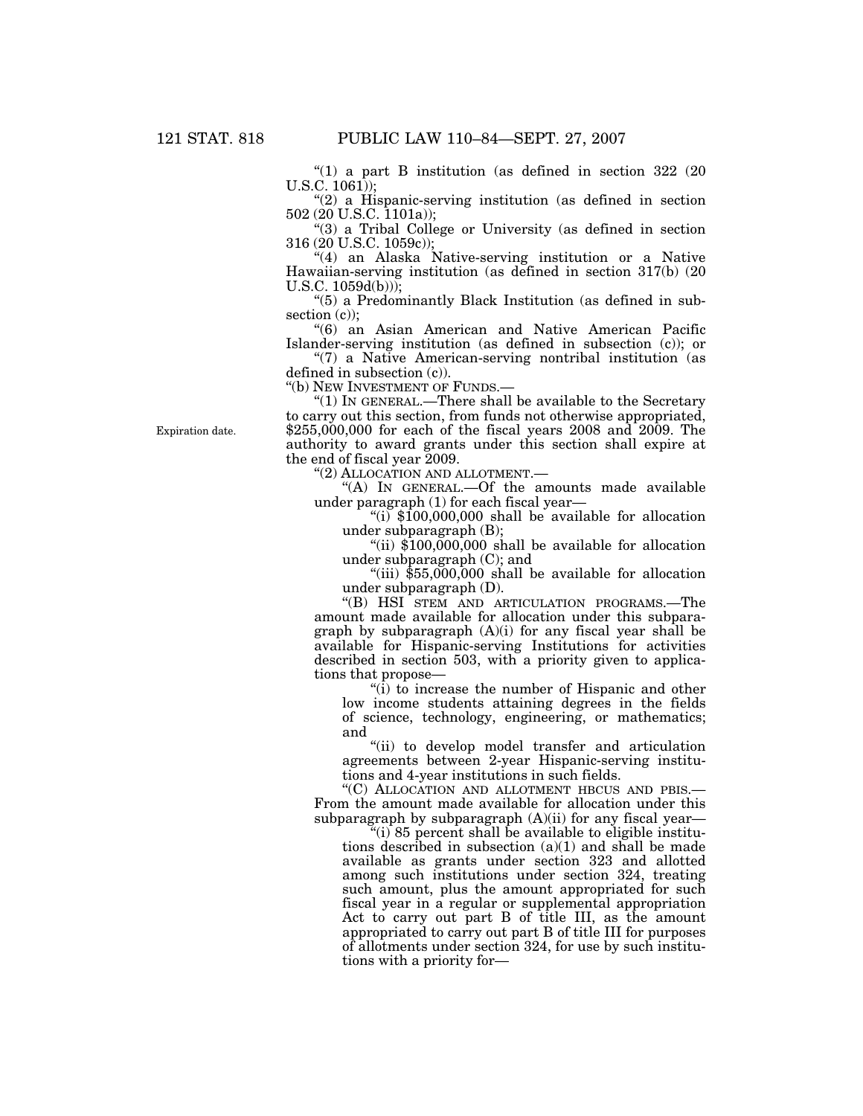"(1) a part B institution (as defined in section 322 (20 U.S.C. 1061));

"(2) a Hispanic-serving institution (as defined in section 502 (20 U.S.C. 1101a));

''(3) a Tribal College or University (as defined in section 316 (20 U.S.C. 1059c));

"(4) an Alaska Native-serving institution or a Native Hawaiian-serving institution (as defined in section 317(b) (20  $U.S.C. 1059d(b))$ ;

''(5) a Predominantly Black Institution (as defined in subsection (c));

''(6) an Asian American and Native American Pacific Islander-serving institution (as defined in subsection (c)); or

''(7) a Native American-serving nontribal institution (as defined in subsection (c)).

"(b) NEW INVESTMENT OF FUNDS.-

" $(1)$  In GENERAL.—There shall be available to the Secretary to carry out this section, from funds not otherwise appropriated, \$255,000,000 for each of the fiscal years 2008 and 2009. The authority to award grants under this section shall expire at the end of fiscal year 2009.

''(2) ALLOCATION AND ALLOTMENT.—

''(A) IN GENERAL.—Of the amounts made available under paragraph (1) for each fiscal year—

" $(i)$  \$100,000,000 shall be available for allocation under subparagraph (B);

"(ii)  $\$100,000,000$  shall be available for allocation under subparagraph (C); and

"(iii)  $$55,000,000$  shall be available for allocation under subparagraph (D).

''(B) HSI STEM AND ARTICULATION PROGRAMS.—The amount made available for allocation under this subparagraph by subparagraph (A)(i) for any fiscal year shall be available for Hispanic-serving Institutions for activities described in section 503, with a priority given to applications that propose—

 $\sqrt[4]{i}$  to increase the number of Hispanic and other low income students attaining degrees in the fields of science, technology, engineering, or mathematics; and

''(ii) to develop model transfer and articulation agreements between 2-year Hispanic-serving institutions and 4-year institutions in such fields.

''(C) ALLOCATION AND ALLOTMENT HBCUS AND PBIS.— From the amount made available for allocation under this subparagraph by subparagraph  $(A)(ii)$  for any fiscal year—

 $'(i)$  85 percent shall be available to eligible institutions described in subsection  $(a)(1)$  and shall be made available as grants under section 323 and allotted among such institutions under section 324, treating such amount, plus the amount appropriated for such fiscal year in a regular or supplemental appropriation Act to carry out part B of title III, as the amount appropriated to carry out part B of title III for purposes of allotments under section 324, for use by such institutions with a priority for—

Expiration date.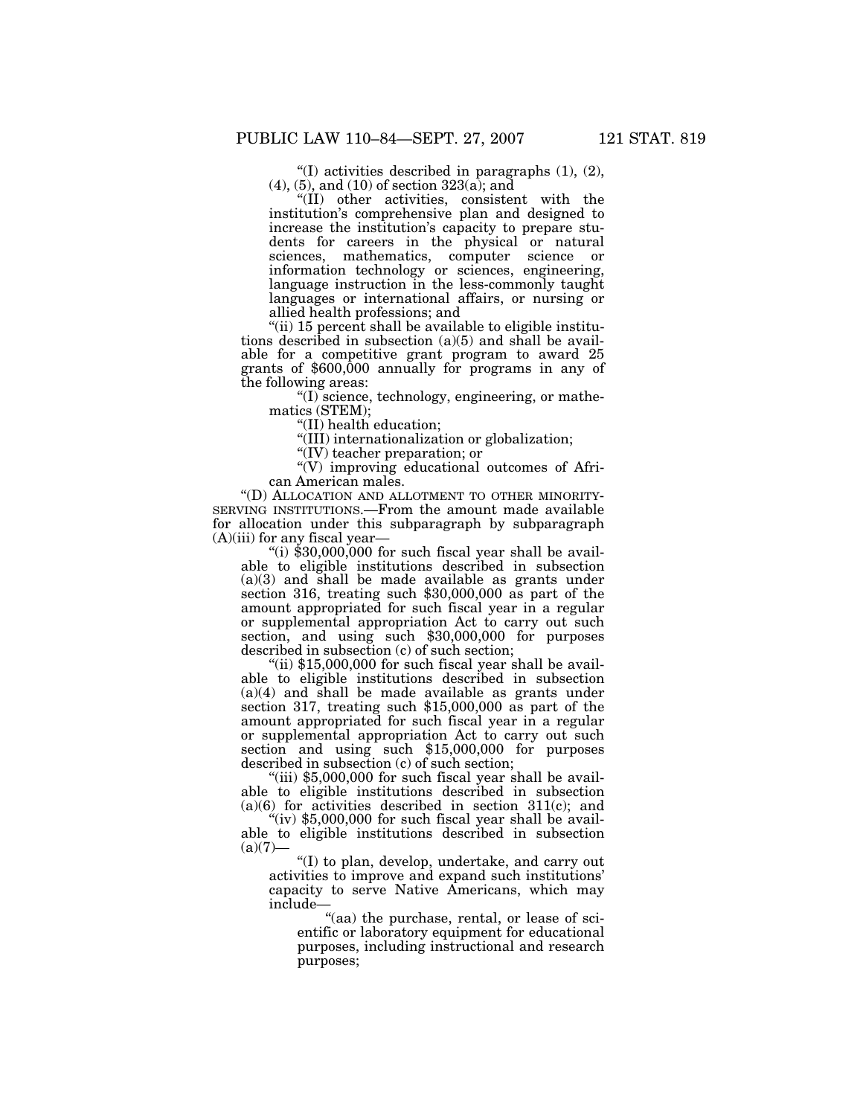''(I) activities described in paragraphs (1), (2), (4), (5), and (10) of section 323(a); and

''(II) other activities, consistent with the institution's comprehensive plan and designed to increase the institution's capacity to prepare students for careers in the physical or natural sciences, mathematics, computer science or information technology or sciences, engineering, language instruction in the less-commonly taught languages or international affairs, or nursing or allied health professions; and

"(ii) 15 percent shall be available to eligible institutions described in subsection (a)(5) and shall be available for a competitive grant program to award 25 grants of \$600,000 annually for programs in any of the following areas:

''(I) science, technology, engineering, or mathematics (STEM);

''(II) health education;

''(III) internationalization or globalization;

''(IV) teacher preparation; or

''(V) improving educational outcomes of African American males.

''(D) ALLOCATION AND ALLOTMENT TO OTHER MINORITY-SERVING INSTITUTIONS.—From the amount made available for allocation under this subparagraph by subparagraph  $(A)(iii)$  for any fiscal year-

"(i)  $$30,000,000$  for such fiscal year shall be available to eligible institutions described in subsection (a)(3) and shall be made available as grants under section 316, treating such \$30,000,000 as part of the amount appropriated for such fiscal year in a regular or supplemental appropriation Act to carry out such section, and using such \$30,000,000 for purposes described in subsection (c) of such section;

"(ii) \$15,000,000 for such fiscal year shall be available to eligible institutions described in subsection (a)(4) and shall be made available as grants under section 317, treating such \$15,000,000 as part of the amount appropriated for such fiscal year in a regular or supplemental appropriation Act to carry out such section and using such \$15,000,000 for purposes described in subsection (c) of such section;

"(iii) \$5,000,000 for such fiscal year shall be available to eligible institutions described in subsection  $(a)(6)$  for activities described in section 311 $(c)$ ; and

"(iv)  $$5,000,000$  for such fiscal year shall be available to eligible institutions described in subsection  $(a)(7)$ —

''(I) to plan, develop, undertake, and carry out activities to improve and expand such institutions' capacity to serve Native Americans, which may include—

''(aa) the purchase, rental, or lease of scientific or laboratory equipment for educational purposes, including instructional and research purposes;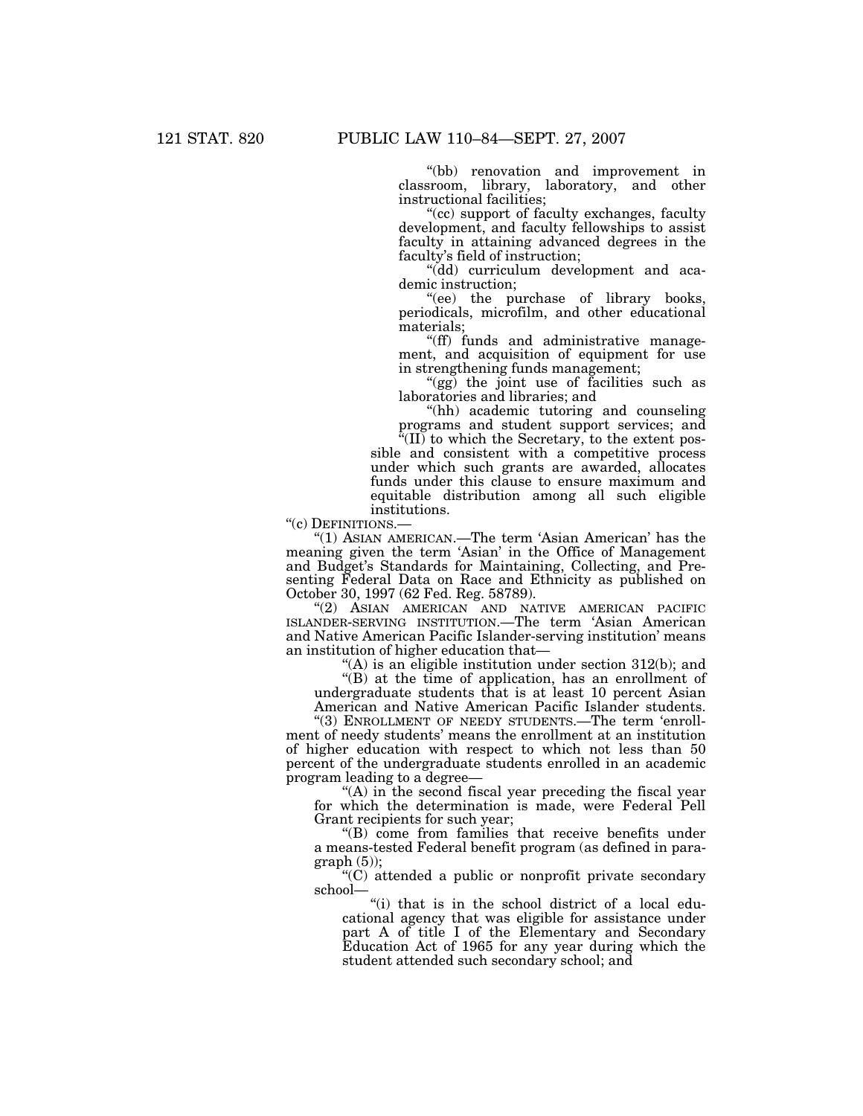''(bb) renovation and improvement in classroom, library, laboratory, and other instructional facilities;

"(cc) support of faculty exchanges, faculty development, and faculty fellowships to assist faculty in attaining advanced degrees in the faculty's field of instruction;

''(dd) curriculum development and academic instruction;

''(ee) the purchase of library books, periodicals, microfilm, and other educational materials;

''(ff) funds and administrative management, and acquisition of equipment for use in strengthening funds management;

''(gg) the joint use of facilities such as laboratories and libraries; and

"(hh) academic tutoring and counseling programs and student support services; and<br>"(II) to which the diagonal support services; and

 $\mathcal{E}(\mathbf{II})$  to which the Secretary, to the extent possible and consistent with a competitive process under which such grants are awarded, allocates funds under this clause to ensure maximum and equitable distribution among all such eligible institutions.

"(c) DEFINITIONS.-

"(1) ASIAN AMERICAN.—The term 'Asian American' has the meaning given the term 'Asian' in the Office of Management and Budget's Standards for Maintaining, Collecting, and Presenting Federal Data on Race and Ethnicity as published on October 30, 1997 (62 Fed. Reg. 58789).

''(2) ASIAN AMERICAN AND NATIVE AMERICAN PACIFIC ISLANDER-SERVING INSTITUTION.—The term 'Asian American and Native American Pacific Islander-serving institution' means an institution of higher education that—

 $(4)$  is an eligible institution under section 312(b); and ''(B) at the time of application, has an enrollment of

undergraduate students that is at least 10 percent Asian American and Native American Pacific Islander students.

"(3) ENROLLMENT OF NEEDY STUDENTS.-The term 'enrollment of needy students' means the enrollment at an institution of higher education with respect to which not less than 50 percent of the undergraduate students enrolled in an academic program leading to a degree—

 $(A)$  in the second fiscal year preceding the fiscal year for which the determination is made, were Federal Pell Grant recipients for such year;

''(B) come from families that receive benefits under a means-tested Federal benefit program (as defined in para $graph (5)$ ;

''(C) attended a public or nonprofit private secondary school—

"(i) that is in the school district of a local educational agency that was eligible for assistance under part A of title I of the Elementary and Secondary Education Act of 1965 for any year during which the student attended such secondary school; and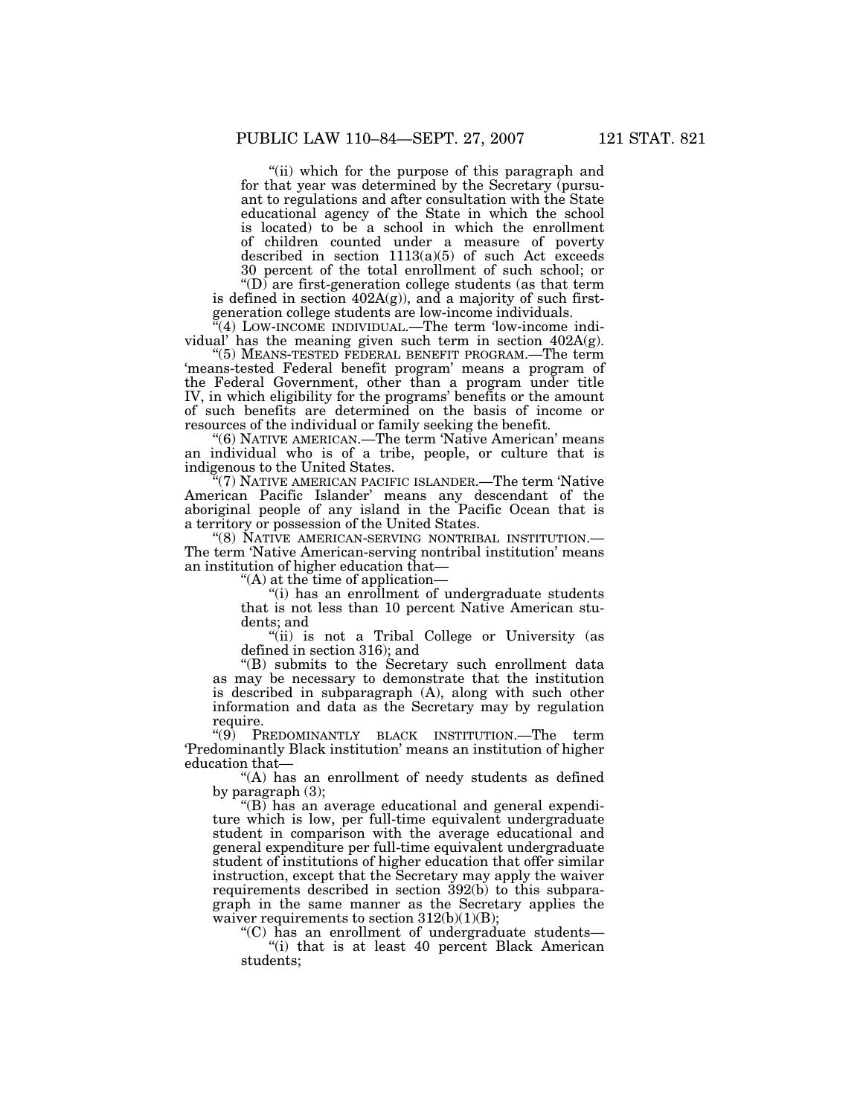"(ii) which for the purpose of this paragraph and for that year was determined by the Secretary (pursuant to regulations and after consultation with the State educational agency of the State in which the school is located) to be a school in which the enrollment of children counted under a measure of poverty described in section  $1113(a)(5)$  of such Act exceeds 30 percent of the total enrollment of such school; or

" $(D)$  are first-generation college students (as that term is defined in section  $402A(g)$ , and a majority of such firstgeneration college students are low-income individuals.

''(4) LOW-INCOME INDIVIDUAL.—The term 'low-income individual' has the meaning given such term in section 402A(g).

''(5) MEANS-TESTED FEDERAL BENEFIT PROGRAM.—The term 'means-tested Federal benefit program' means a program of the Federal Government, other than a program under title IV, in which eligibility for the programs' benefits or the amount of such benefits are determined on the basis of income or resources of the individual or family seeking the benefit.

"(6) NATIVE AMERICAN.—The term 'Native American' means an individual who is of a tribe, people, or culture that is indigenous to the United States.

(7) NATIVE AMERICAN PACIFIC ISLANDER.—The term 'Native American Pacific Islander' means any descendant of the aboriginal people of any island in the Pacific Ocean that is a territory or possession of the United States.

''(8) NATIVE AMERICAN-SERVING NONTRIBAL INSTITUTION.— The term 'Native American-serving nontribal institution' means an institution of higher education that—

''(A) at the time of application—

''(i) has an enrollment of undergraduate students that is not less than 10 percent Native American students; and

"(ii) is not a Tribal College or University (as defined in section 316); and

''(B) submits to the Secretary such enrollment data as may be necessary to demonstrate that the institution is described in subparagraph (A), along with such other information and data as the Secretary may by regulation require.

''(9) PREDOMINANTLY BLACK INSTITUTION.—The term 'Predominantly Black institution' means an institution of higher education that—

''(A) has an enrollment of needy students as defined by paragraph (3);

 $\degree$ (B) has an average educational and general expenditure which is low, per full-time equivalent undergraduate student in comparison with the average educational and general expenditure per full-time equivalent undergraduate student of institutions of higher education that offer similar instruction, except that the Secretary may apply the waiver requirements described in section 392(b) to this subparagraph in the same manner as the Secretary applies the waiver requirements to section  $312(b)(1)(B)$ ;

''(C) has an enrollment of undergraduate students—

''(i) that is at least 40 percent Black American students;